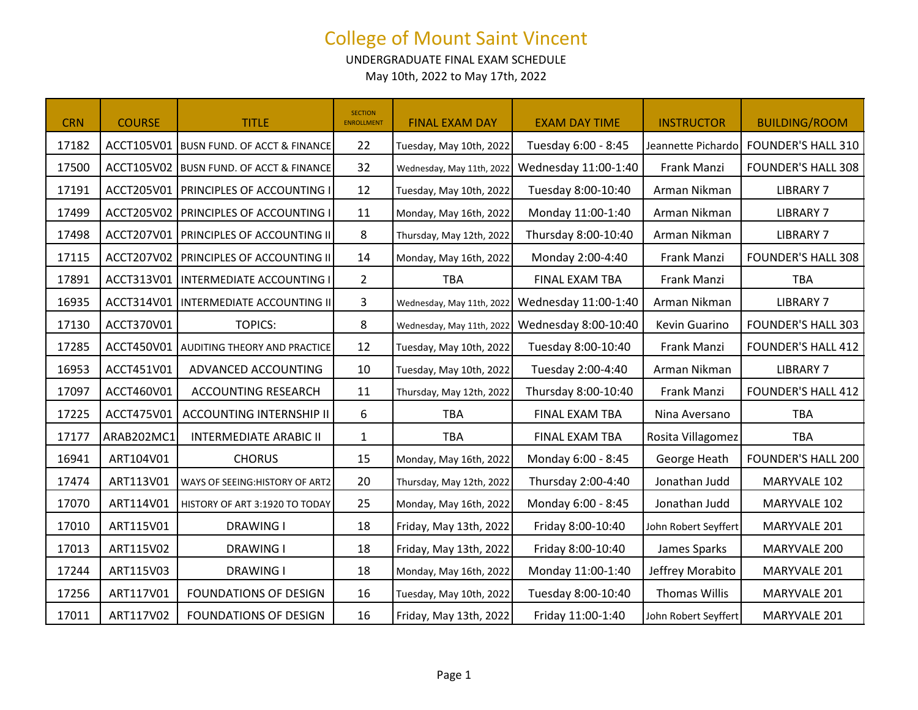UNDERGRADUATE FINAL EXAM SCHEDULE May 10th, 2022 to May 17th, 2022

| <b>CRN</b> | <b>COURSE</b> | <b>TITLE</b>                             | <b>SECTION</b><br><b>ENROLLMENT</b> | <b>FINAL EXAM DAY</b>     | <b>EXAM DAY TIME</b> | <b>INSTRUCTOR</b>    | <b>BUILDING/ROOM</b>                  |
|------------|---------------|------------------------------------------|-------------------------------------|---------------------------|----------------------|----------------------|---------------------------------------|
| 17182      |               | ACCT105V01 BUSN FUND. OF ACCT & FINANCE  | 22                                  | Tuesday, May 10th, 2022   | Tuesday 6:00 - 8:45  |                      | Jeannette Pichardo FOUNDER'S HALL 310 |
| 17500      |               | ACCT105V02 BUSN FUND. OF ACCT & FINANCE  | 32                                  | Wednesday, May 11th, 2022 | Wednesday 11:00-1:40 | Frank Manzi          | <b>FOUNDER'S HALL 308</b>             |
| 17191      |               | ACCT205V01   PRINCIPLES OF ACCOUNTING I  | 12                                  | Tuesday, May 10th, 2022   | Tuesday 8:00-10:40   | Arman Nikman         | <b>LIBRARY 7</b>                      |
| 17499      |               | ACCT205V02 PRINCIPLES OF ACCOUNTING I    | 11                                  | Monday, May 16th, 2022    | Monday 11:00-1:40    | Arman Nikman         | <b>LIBRARY 7</b>                      |
| 17498      |               | ACCT207V01   PRINCIPLES OF ACCOUNTING II | 8                                   | Thursday, May 12th, 2022  | Thursday 8:00-10:40  | Arman Nikman         | <b>LIBRARY 7</b>                      |
| 17115      |               | ACCT207V02 PRINCIPLES OF ACCOUNTING II   | 14                                  | Monday, May 16th, 2022    | Monday 2:00-4:40     | Frank Manzi          | <b>FOUNDER'S HALL 308</b>             |
| 17891      |               | ACCT313V01   INTERMEDIATE ACCOUNTING I   | $\overline{2}$                      | <b>TBA</b>                | FINAL EXAM TBA       | Frank Manzi          | <b>TBA</b>                            |
| 16935      |               | ACCT314V01   INTERMEDIATE ACCOUNTING II  | 3                                   | Wednesday, May 11th, 2022 | Wednesday 11:00-1:40 | Arman Nikman         | <b>LIBRARY 7</b>                      |
| 17130      | ACCT370V01    | <b>TOPICS:</b>                           | 8                                   | Wednesday, May 11th, 2022 | Wednesday 8:00-10:40 | Kevin Guarino        | <b>FOUNDER'S HALL 303</b>             |
| 17285      |               | ACCT450V01 AUDITING THEORY AND PRACTICE  | 12                                  | Tuesday, May 10th, 2022   | Tuesday 8:00-10:40   | Frank Manzi          | <b>FOUNDER'S HALL 412</b>             |
| 16953      | ACCT451V01    | ADVANCED ACCOUNTING                      | 10                                  | Tuesday, May 10th, 2022   | Tuesday 2:00-4:40    | Arman Nikman         | <b>LIBRARY 7</b>                      |
| 17097      | ACCT460V01    | <b>ACCOUNTING RESEARCH</b>               | 11                                  | Thursday, May 12th, 2022  | Thursday 8:00-10:40  | Frank Manzi          | <b>FOUNDER'S HALL 412</b>             |
| 17225      | ACCT475V01    | <b>ACCOUNTING INTERNSHIP II</b>          | 6                                   | <b>TBA</b>                | FINAL EXAM TBA       | Nina Aversano        | <b>TBA</b>                            |
| 17177      | ARAB202MC1    | <b>INTERMEDIATE ARABIC II</b>            | $\mathbf{1}$                        | <b>TBA</b>                | FINAL EXAM TBA       | Rosita Villagomez    | <b>TBA</b>                            |
| 16941      | ART104V01     | <b>CHORUS</b>                            | 15                                  | Monday, May 16th, 2022    | Monday 6:00 - 8:45   | George Heath         | <b>FOUNDER'S HALL 200</b>             |
| 17474      | ART113V01     | WAYS OF SEEING: HISTORY OF ART2          | 20                                  | Thursday, May 12th, 2022  | Thursday 2:00-4:40   | Jonathan Judd        | MARYVALE 102                          |
| 17070      | ART114V01     | HISTORY OF ART 3:1920 TO TODAY           | 25                                  | Monday, May 16th, 2022    | Monday 6:00 - 8:45   | Jonathan Judd        | MARYVALE 102                          |
| 17010      | ART115V01     | <b>DRAWING I</b>                         | 18                                  | Friday, May 13th, 2022    | Friday 8:00-10:40    | John Robert Seyffert | MARYVALE 201                          |
| 17013      | ART115V02     | <b>DRAWING I</b>                         | 18                                  | Friday, May 13th, 2022    | Friday 8:00-10:40    | James Sparks         | MARYVALE 200                          |
| 17244      | ART115V03     | <b>DRAWING I</b>                         | 18                                  | Monday, May 16th, 2022    | Monday 11:00-1:40    | Jeffrey Morabito     | MARYVALE 201                          |
| 17256      | ART117V01     | FOUNDATIONS OF DESIGN                    | 16                                  | Tuesday, May 10th, 2022   | Tuesday 8:00-10:40   | <b>Thomas Willis</b> | MARYVALE 201                          |
| 17011      | ART117V02     | FOUNDATIONS OF DESIGN                    | 16                                  | Friday, May 13th, 2022    | Friday 11:00-1:40    | John Robert Seyffert | MARYVALE 201                          |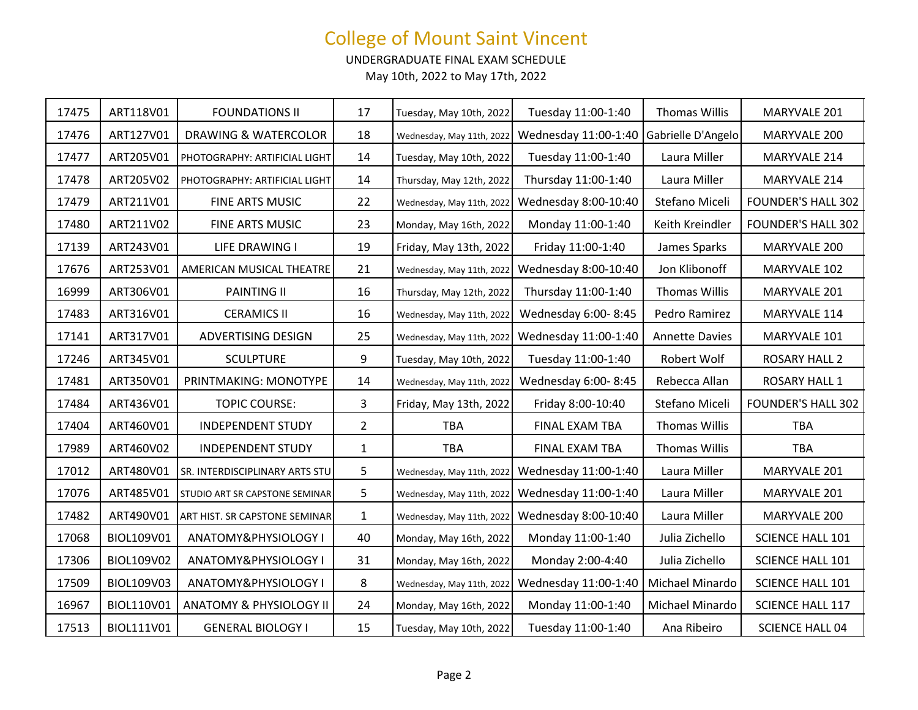UNDERGRADUATE FINAL EXAM SCHEDULE

| 17475 | ART118V01  | <b>FOUNDATIONS II</b>              | 17             | Tuesday, May 10th, 2022   | Tuesday 11:00-1:40   | <b>Thomas Willis</b>  | MARYVALE 201              |
|-------|------------|------------------------------------|----------------|---------------------------|----------------------|-----------------------|---------------------------|
| 17476 | ART127V01  | DRAWING & WATERCOLOR               | 18             | Wednesday, May 11th, 2022 | Wednesday 11:00-1:40 | Gabrielle D'Angelo    | MARYVALE 200              |
| 17477 | ART205V01  | PHOTOGRAPHY: ARTIFICIAL LIGHT      | 14             | Tuesday, May 10th, 2022   | Tuesday 11:00-1:40   | Laura Miller          | MARYVALE 214              |
| 17478 | ART205V02  | PHOTOGRAPHY: ARTIFICIAL LIGHT      | 14             | Thursday, May 12th, 2022  | Thursday 11:00-1:40  | Laura Miller          | MARYVALE 214              |
| 17479 | ART211V01  | FINE ARTS MUSIC                    | 22             | Wednesday, May 11th, 2022 | Wednesday 8:00-10:40 | Stefano Miceli        | <b>FOUNDER'S HALL 302</b> |
| 17480 | ART211V02  | FINE ARTS MUSIC                    | 23             | Monday, May 16th, 2022    | Monday 11:00-1:40    | Keith Kreindler       | <b>FOUNDER'S HALL 302</b> |
| 17139 | ART243V01  | LIFE DRAWING I                     | 19             | Friday, May 13th, 2022    | Friday 11:00-1:40    | James Sparks          | MARYVALE 200              |
| 17676 | ART253V01  | AMERICAN MUSICAL THEATRE           | 21             | Wednesday, May 11th, 2022 | Wednesday 8:00-10:40 | Jon Klibonoff         | MARYVALE 102              |
| 16999 | ART306V01  | <b>PAINTING II</b>                 | 16             | Thursday, May 12th, 2022  | Thursday 11:00-1:40  | <b>Thomas Willis</b>  | MARYVALE 201              |
| 17483 | ART316V01  | <b>CERAMICS II</b>                 | 16             | Wednesday, May 11th, 2022 | Wednesday 6:00-8:45  | Pedro Ramirez         | MARYVALE 114              |
| 17141 | ART317V01  | ADVERTISING DESIGN                 | 25             | Wednesday, May 11th, 2022 | Wednesday 11:00-1:40 | <b>Annette Davies</b> | MARYVALE 101              |
| 17246 | ART345V01  | <b>SCULPTURE</b>                   | 9              | Tuesday, May 10th, 2022   | Tuesday 11:00-1:40   | Robert Wolf           | <b>ROSARY HALL 2</b>      |
| 17481 | ART350V01  | PRINTMAKING: MONOTYPE              | 14             | Wednesday, May 11th, 2022 | Wednesday 6:00-8:45  | Rebecca Allan         | <b>ROSARY HALL 1</b>      |
| 17484 | ART436V01  | <b>TOPIC COURSE:</b>               | 3              | Friday, May 13th, 2022    | Friday 8:00-10:40    | Stefano Miceli        | <b>FOUNDER'S HALL 302</b> |
| 17404 | ART460V01  | <b>INDEPENDENT STUDY</b>           | $\overline{2}$ | <b>TBA</b>                | FINAL EXAM TBA       | Thomas Willis         | <b>TBA</b>                |
| 17989 | ART460V02  | <b>INDEPENDENT STUDY</b>           | $\mathbf{1}$   | <b>TBA</b>                | FINAL EXAM TBA       | <b>Thomas Willis</b>  | <b>TBA</b>                |
| 17012 | ART480V01  | SR. INTERDISCIPLINARY ARTS STU     | 5              | Wednesday, May 11th, 2022 | Wednesday 11:00-1:40 | Laura Miller          | MARYVALE 201              |
| 17076 | ART485V01  | STUDIO ART SR CAPSTONE SEMINAR     | 5              | Wednesday, May 11th, 2022 | Wednesday 11:00-1:40 | Laura Miller          | MARYVALE 201              |
| 17482 | ART490V01  | ART HIST. SR CAPSTONE SEMINAR      | $\mathbf{1}$   | Wednesday, May 11th, 2022 | Wednesday 8:00-10:40 | Laura Miller          | MARYVALE 200              |
| 17068 | BIOL109V01 | ANATOMY&PHYSIOLOGY I               | 40             | Monday, May 16th, 2022    | Monday 11:00-1:40    | Julia Zichello        | SCIENCE HALL 101          |
| 17306 | BIOL109V02 | ANATOMY&PHYSIOLOGY I               | 31             | Monday, May 16th, 2022    | Monday 2:00-4:40     | Julia Zichello        | SCIENCE HALL 101          |
| 17509 | BIOL109V03 | ANATOMY&PHYSIOLOGY I               | 8              | Wednesday, May 11th, 2022 | Wednesday 11:00-1:40 | Michael Minardo       | SCIENCE HALL 101          |
| 16967 | BIOL110V01 | <b>ANATOMY &amp; PHYSIOLOGY II</b> | 24             | Monday, May 16th, 2022    | Monday 11:00-1:40    | Michael Minardo       | SCIENCE HALL 117          |
| 17513 | BIOL111V01 | <b>GENERAL BIOLOGY I</b>           | 15             | Tuesday, May 10th, 2022   | Tuesday 11:00-1:40   | Ana Ribeiro           | <b>SCIENCE HALL 04</b>    |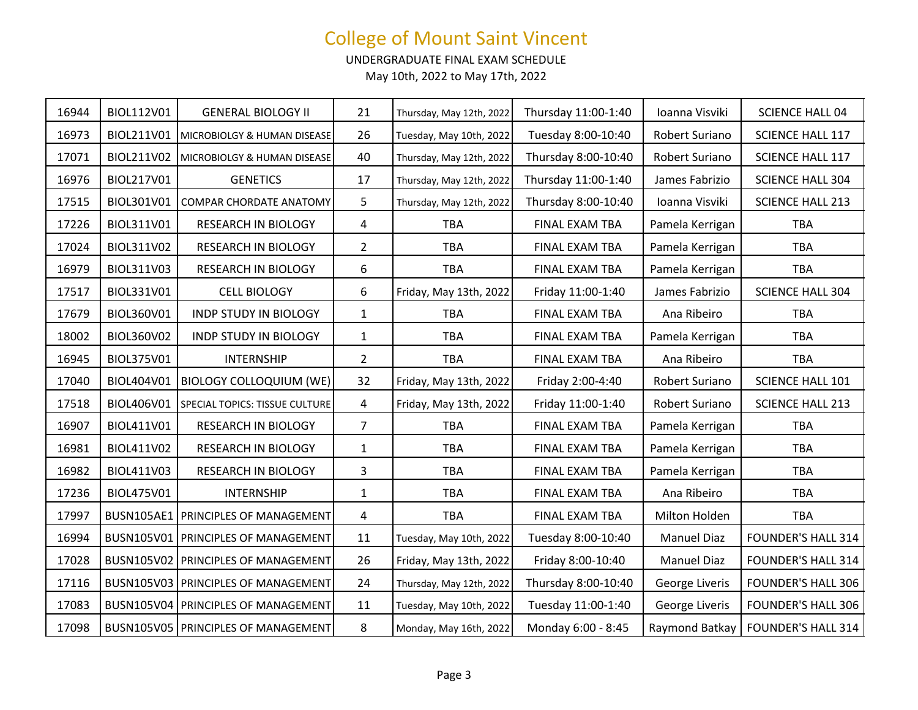UNDERGRADUATE FINAL EXAM SCHEDULE

| 16944 | BIOL112V01        | <b>GENERAL BIOLOGY II</b>             | 21             | Thursday, May 12th, 2022 | Thursday 11:00-1:40 | Ioanna Visviki     | <b>SCIENCE HALL 04</b>    |
|-------|-------------------|---------------------------------------|----------------|--------------------------|---------------------|--------------------|---------------------------|
| 16973 | BIOL211V01        | MICROBIOLGY & HUMAN DISEASE           | 26             | Tuesday, May 10th, 2022  | Tuesday 8:00-10:40  | Robert Suriano     | SCIENCE HALL 117          |
| 17071 | BIOL211V02        | MICROBIOLGY & HUMAN DISEASE           | 40             | Thursday, May 12th, 2022 | Thursday 8:00-10:40 | Robert Suriano     | <b>SCIENCE HALL 117</b>   |
| 16976 | BIOL217V01        | <b>GENETICS</b>                       | 17             | Thursday, May 12th, 2022 | Thursday 11:00-1:40 | James Fabrizio     | <b>SCIENCE HALL 304</b>   |
| 17515 | BIOL301V01        | COMPAR CHORDATE ANATOMY               | 5              | Thursday, May 12th, 2022 | Thursday 8:00-10:40 | Ioanna Visviki     | <b>SCIENCE HALL 213</b>   |
| 17226 | BIOL311V01        | RESEARCH IN BIOLOGY                   | $\overline{4}$ | <b>TBA</b>               | FINAL EXAM TBA      | Pamela Kerrigan    | <b>TBA</b>                |
| 17024 | BIOL311V02        | RESEARCH IN BIOLOGY                   | $\overline{2}$ | <b>TBA</b>               | FINAL EXAM TBA      | Pamela Kerrigan    | <b>TBA</b>                |
| 16979 | BIOL311V03        | RESEARCH IN BIOLOGY                   | 6              | TBA                      | FINAL EXAM TBA      | Pamela Kerrigan    | <b>TBA</b>                |
| 17517 | BIOL331V01        | <b>CELL BIOLOGY</b>                   | 6              | Friday, May 13th, 2022   | Friday 11:00-1:40   | James Fabrizio     | <b>SCIENCE HALL 304</b>   |
| 17679 | BIOL360V01        | <b>INDP STUDY IN BIOLOGY</b>          | $\mathbf{1}$   | <b>TBA</b>               | FINAL EXAM TBA      | Ana Ribeiro        | TBA                       |
| 18002 | BIOL360V02        | <b>INDP STUDY IN BIOLOGY</b>          | $\mathbf{1}$   | TBA                      | FINAL EXAM TBA      | Pamela Kerrigan    | <b>TBA</b>                |
| 16945 | BIOL375V01        | <b>INTERNSHIP</b>                     | $\overline{2}$ | <b>TBA</b>               | FINAL EXAM TBA      | Ana Ribeiro        | <b>TBA</b>                |
| 17040 | BIOL404V01        | <b>BIOLOGY COLLOQUIUM (WE)</b>        | 32             | Friday, May 13th, 2022   | Friday 2:00-4:40    | Robert Suriano     | SCIENCE HALL 101          |
| 17518 | BIOL406V01        | SPECIAL TOPICS: TISSUE CULTURE        | 4              | Friday, May 13th, 2022   | Friday 11:00-1:40   | Robert Suriano     | <b>SCIENCE HALL 213</b>   |
| 16907 | BIOL411V01        | RESEARCH IN BIOLOGY                   | $\overline{7}$ | <b>TBA</b>               | FINAL EXAM TBA      | Pamela Kerrigan    | <b>TBA</b>                |
| 16981 | BIOL411V02        | RESEARCH IN BIOLOGY                   | $\mathbf{1}$   | <b>TBA</b>               | FINAL EXAM TBA      | Pamela Kerrigan    | <b>TBA</b>                |
| 16982 | BIOL411V03        | RESEARCH IN BIOLOGY                   | $\overline{3}$ | <b>TBA</b>               | FINAL EXAM TBA      | Pamela Kerrigan    | TBA                       |
| 17236 | BIOL475V01        | <b>INTERNSHIP</b>                     | $\mathbf{1}$   | <b>TBA</b>               | FINAL EXAM TBA      | Ana Ribeiro        | <b>TBA</b>                |
| 17997 | <b>BUSN105AE1</b> | PRINCIPLES OF MANAGEMENT              | $\overline{4}$ | TBA                      | FINAL EXAM TBA      | Milton Holden      | <b>TBA</b>                |
| 16994 | BUSN105V01        | PRINCIPLES OF MANAGEMENT              | 11             | Tuesday, May 10th, 2022  | Tuesday 8:00-10:40  | <b>Manuel Diaz</b> | <b>FOUNDER'S HALL 314</b> |
| 17028 |                   | BUSN105V02 PRINCIPLES OF MANAGEMENT   | 26             | Friday, May 13th, 2022   | Friday 8:00-10:40   | <b>Manuel Diaz</b> | <b>FOUNDER'S HALL 314</b> |
| 17116 |                   | BUSN105V03   PRINCIPLES OF MANAGEMENT | 24             | Thursday, May 12th, 2022 | Thursday 8:00-10:40 | George Liveris     | <b>FOUNDER'S HALL 306</b> |
| 17083 |                   | BUSN105V04   PRINCIPLES OF MANAGEMENT | 11             | Tuesday, May 10th, 2022  | Tuesday 11:00-1:40  | George Liveris     | <b>FOUNDER'S HALL 306</b> |
| 17098 |                   | BUSN105V05   PRINCIPLES OF MANAGEMENT | 8              | Monday, May 16th, 2022   | Monday 6:00 - 8:45  | Raymond Batkay     | <b>FOUNDER'S HALL 314</b> |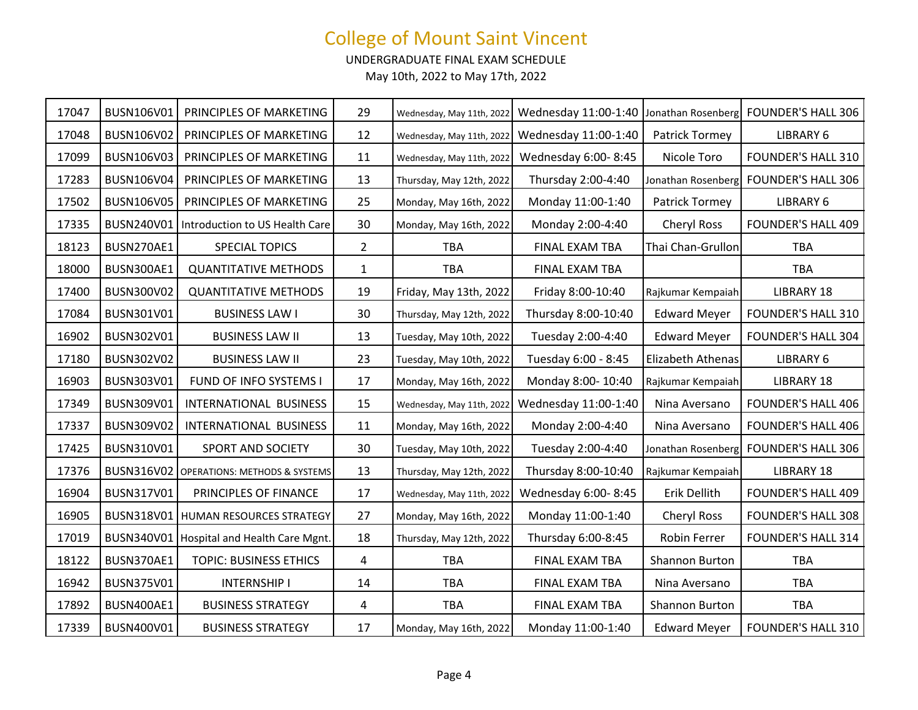UNDERGRADUATE FINAL EXAM SCHEDULE

| 17047 | BUSN106V01 | PRINCIPLES OF MARKETING                         | 29             | Wednesday, May 11th, 2022 | Wednesday 11:00-1:40 Jonathan Rosenberg |                     | <b>FOUNDER'S HALL 306</b> |
|-------|------------|-------------------------------------------------|----------------|---------------------------|-----------------------------------------|---------------------|---------------------------|
| 17048 | BUSN106V02 | PRINCIPLES OF MARKETING                         | 12             | Wednesday, May 11th, 2022 | Wednesday 11:00-1:40                    | Patrick Tormey      | LIBRARY 6                 |
| 17099 | BUSN106V03 | PRINCIPLES OF MARKETING                         | 11             | Wednesday, May 11th, 2022 | Wednesday 6:00-8:45                     | Nicole Toro         | FOUNDER'S HALL 310        |
| 17283 | BUSN106V04 | PRINCIPLES OF MARKETING                         | 13             | Thursday, May 12th, 2022  | Thursday 2:00-4:40                      | Jonathan Rosenberg  | <b>FOUNDER'S HALL 306</b> |
| 17502 | BUSN106V05 | PRINCIPLES OF MARKETING                         | 25             | Monday, May 16th, 2022    | Monday 11:00-1:40                       | Patrick Tormey      | LIBRARY 6                 |
| 17335 | BUSN240V01 | Introduction to US Health Care                  | 30             | Monday, May 16th, 2022    | Monday 2:00-4:40                        | <b>Cheryl Ross</b>  | <b>FOUNDER'S HALL 409</b> |
| 18123 | BUSN270AE1 | SPECIAL TOPICS                                  | $\overline{2}$ | <b>TBA</b>                | FINAL EXAM TBA                          | Thai Chan-Grullon   | <b>TBA</b>                |
| 18000 | BUSN300AE1 | <b>QUANTITATIVE METHODS</b>                     | $\mathbf{1}$   | TBA                       | FINAL EXAM TBA                          |                     | <b>TBA</b>                |
| 17400 | BUSN300V02 | <b>QUANTITATIVE METHODS</b>                     | 19             | Friday, May 13th, 2022    | Friday 8:00-10:40                       | Rajkumar Kempaiah   | <b>LIBRARY 18</b>         |
| 17084 | BUSN301V01 | <b>BUSINESS LAW I</b>                           | 30             | Thursday, May 12th, 2022  | Thursday 8:00-10:40                     | <b>Edward Meyer</b> | <b>FOUNDER'S HALL 310</b> |
| 16902 | BUSN302V01 | <b>BUSINESS LAW II</b>                          | 13             | Tuesday, May 10th, 2022   | Tuesday 2:00-4:40                       | <b>Edward Meyer</b> | <b>FOUNDER'S HALL 304</b> |
| 17180 | BUSN302V02 | <b>BUSINESS LAW II</b>                          | 23             | Tuesday, May 10th, 2022   | Tuesday 6:00 - 8:45                     | Elizabeth Athenas   | LIBRARY 6                 |
| 16903 | BUSN303V01 | FUND OF INFO SYSTEMS I                          | 17             | Monday, May 16th, 2022    | Monday 8:00-10:40                       | Rajkumar Kempaiah   | <b>LIBRARY 18</b>         |
| 17349 | BUSN309V01 | INTERNATIONAL BUSINESS                          | 15             | Wednesday, May 11th, 2022 | Wednesday 11:00-1:40                    | Nina Aversano       | <b>FOUNDER'S HALL 406</b> |
| 17337 | BUSN309V02 | INTERNATIONAL BUSINESS                          | 11             | Monday, May 16th, 2022    | Monday 2:00-4:40                        | Nina Aversano       | <b>FOUNDER'S HALL 406</b> |
| 17425 | BUSN310V01 | SPORT AND SOCIETY                               | 30             | Tuesday, May 10th, 2022   | Tuesday 2:00-4:40                       | Jonathan Rosenberg  | <b>FOUNDER'S HALL 306</b> |
| 17376 |            | <b>BUSN316V02</b> OPERATIONS: METHODS & SYSTEMS | 13             | Thursday, May 12th, 2022  | Thursday 8:00-10:40                     | Rajkumar Kempaiah   | <b>LIBRARY 18</b>         |
| 16904 | BUSN317V01 | PRINCIPLES OF FINANCE                           | 17             | Wednesday, May 11th, 2022 | Wednesday 6:00-8:45                     | Erik Dellith        | <b>FOUNDER'S HALL 409</b> |
| 16905 |            | BUSN318V01   HUMAN RESOURCES STRATEGY           | 27             | Monday, May 16th, 2022    | Monday 11:00-1:40                       | <b>Cheryl Ross</b>  | <b>FOUNDER'S HALL 308</b> |
| 17019 |            | BUSN340V01   Hospital and Health Care Mgnt.     | 18             | Thursday, May 12th, 2022  | Thursday 6:00-8:45                      | <b>Robin Ferrer</b> | <b>FOUNDER'S HALL 314</b> |
| 18122 | BUSN370AE1 | <b>TOPIC: BUSINESS ETHICS</b>                   | 4              | <b>TBA</b>                | FINAL EXAM TBA                          | Shannon Burton      | <b>TBA</b>                |
| 16942 | BUSN375V01 | <b>INTERNSHIP I</b>                             | 14             | <b>TBA</b>                | FINAL EXAM TBA                          | Nina Aversano       | <b>TBA</b>                |
| 17892 | BUSN400AE1 | <b>BUSINESS STRATEGY</b>                        | 4              | <b>TBA</b>                | FINAL EXAM TBA                          | Shannon Burton      | <b>TBA</b>                |
| 17339 | BUSN400V01 | <b>BUSINESS STRATEGY</b>                        | 17             | Monday, May 16th, 2022    | Monday 11:00-1:40                       | <b>Edward Meyer</b> | <b>FOUNDER'S HALL 310</b> |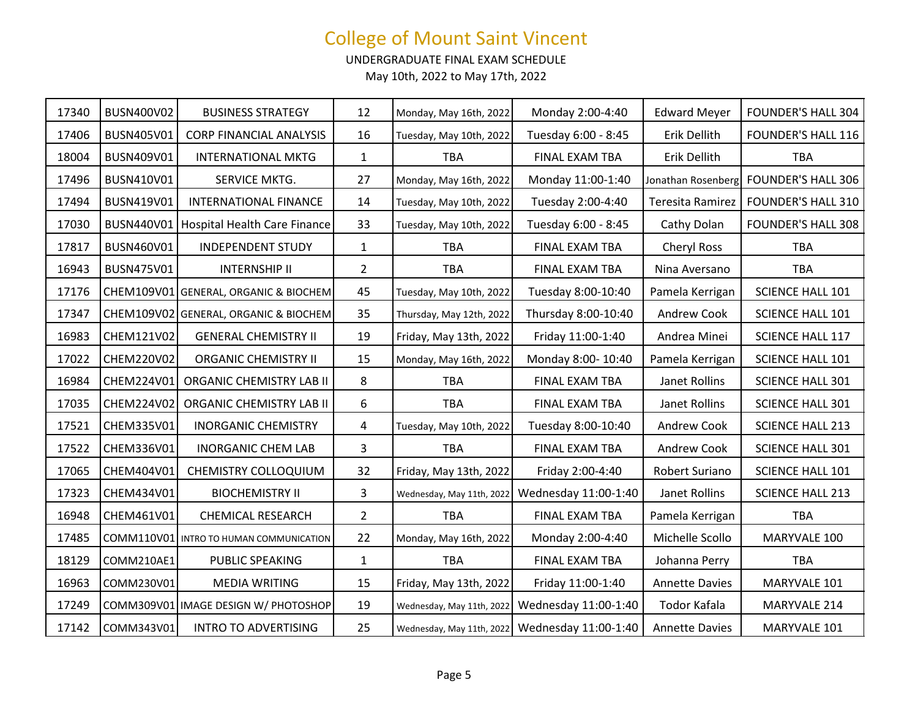UNDERGRADUATE FINAL EXAM SCHEDULE

| 17340 | BUSN400V02 | <b>BUSINESS STRATEGY</b>                  | 12             | Monday, May 16th, 2022    | Monday 2:00-4:40     | <b>Edward Meyer</b>   | <b>FOUNDER'S HALL 304</b> |
|-------|------------|-------------------------------------------|----------------|---------------------------|----------------------|-----------------------|---------------------------|
| 17406 | BUSN405V01 | <b>CORP FINANCIAL ANALYSIS</b>            | 16             | Tuesday, May 10th, 2022   | Tuesday 6:00 - 8:45  | Erik Dellith          | <b>FOUNDER'S HALL 116</b> |
| 18004 | BUSN409V01 | <b>INTERNATIONAL MKTG</b>                 | $\mathbf{1}$   | <b>TBA</b>                | FINAL EXAM TBA       | Erik Dellith          | <b>TBA</b>                |
| 17496 | BUSN410V01 | SERVICE MKTG.                             | 27             | Monday, May 16th, 2022    | Monday 11:00-1:40    | Jonathan Rosenberg    | <b>FOUNDER'S HALL 306</b> |
| 17494 | BUSN419V01 | <b>INTERNATIONAL FINANCE</b>              | 14             | Tuesday, May 10th, 2022   | Tuesday 2:00-4:40    | Teresita Ramirez      | <b>FOUNDER'S HALL 310</b> |
| 17030 |            | BUSN440V01   Hospital Health Care Finance | 33             | Tuesday, May 10th, 2022   | Tuesday 6:00 - 8:45  | Cathy Dolan           | <b>FOUNDER'S HALL 308</b> |
| 17817 | BUSN460V01 | <b>INDEPENDENT STUDY</b>                  | $\mathbf{1}$   | <b>TBA</b>                | FINAL EXAM TBA       | <b>Cheryl Ross</b>    | <b>TBA</b>                |
| 16943 | BUSN475V01 | <b>INTERNSHIP II</b>                      | $\overline{2}$ | <b>TBA</b>                | FINAL EXAM TBA       | Nina Aversano         | <b>TBA</b>                |
| 17176 |            | CHEM109V01 GENERAL, ORGANIC & BIOCHEM     | 45             | Tuesday, May 10th, 2022   | Tuesday 8:00-10:40   | Pamela Kerrigan       | <b>SCIENCE HALL 101</b>   |
| 17347 |            | CHEM109V02 GENERAL, ORGANIC & BIOCHEM     | 35             | Thursday, May 12th, 2022  | Thursday 8:00-10:40  | Andrew Cook           | SCIENCE HALL 101          |
| 16983 | CHEM121V02 | <b>GENERAL CHEMISTRY II</b>               | 19             | Friday, May 13th, 2022    | Friday 11:00-1:40    | Andrea Minei          | SCIENCE HALL 117          |
| 17022 | CHEM220V02 | <b>ORGANIC CHEMISTRY II</b>               | 15             | Monday, May 16th, 2022    | Monday 8:00-10:40    | Pamela Kerrigan       | SCIENCE HALL 101          |
| 16984 | CHEM224V01 | <b>ORGANIC CHEMISTRY LAB II</b>           | 8              | <b>TBA</b>                | FINAL EXAM TBA       | Janet Rollins         | <b>SCIENCE HALL 301</b>   |
| 17035 | CHEM224V02 | <b>ORGANIC CHEMISTRY LAB II</b>           | 6              | <b>TBA</b>                | FINAL EXAM TBA       | Janet Rollins         | <b>SCIENCE HALL 301</b>   |
| 17521 | CHEM335V01 | <b>INORGANIC CHEMISTRY</b>                | 4              | Tuesday, May 10th, 2022   | Tuesday 8:00-10:40   | Andrew Cook           | <b>SCIENCE HALL 213</b>   |
| 17522 | CHEM336V01 | <b>INORGANIC CHEM LAB</b>                 | 3              | <b>TBA</b>                | FINAL EXAM TBA       | Andrew Cook           | SCIENCE HALL 301          |
| 17065 | CHEM404V01 | CHEMISTRY COLLOQUIUM                      | 32             | Friday, May 13th, 2022    | Friday 2:00-4:40     | Robert Suriano        | SCIENCE HALL 101          |
| 17323 | CHEM434V01 | <b>BIOCHEMISTRY II</b>                    | 3              | Wednesday, May 11th, 2022 | Wednesday 11:00-1:40 | Janet Rollins         | <b>SCIENCE HALL 213</b>   |
| 16948 | CHEM461V01 | <b>CHEMICAL RESEARCH</b>                  | $2^{\circ}$    | <b>TBA</b>                | FINAL EXAM TBA       | Pamela Kerrigan       | <b>TBA</b>                |
| 17485 |            | COMM110V01 INTRO TO HUMAN COMMUNICATION   | 22             | Monday, May 16th, 2022    | Monday 2:00-4:40     | Michelle Scollo       | MARYVALE 100              |
| 18129 | COMM210AE1 | PUBLIC SPEAKING                           | $\mathbf{1}$   | <b>TBA</b>                | FINAL EXAM TBA       | Johanna Perry         | <b>TBA</b>                |
| 16963 | COMM230V01 | <b>MEDIA WRITING</b>                      | 15             | Friday, May 13th, 2022    | Friday 11:00-1:40    | <b>Annette Davies</b> | MARYVALE 101              |
| 17249 |            | COMM309V01 IMAGE DESIGN W/ PHOTOSHOP      | 19             | Wednesday, May 11th, 2022 | Wednesday 11:00-1:40 | Todor Kafala          | MARYVALE 214              |
| 17142 | COMM343V01 | <b>INTRO TO ADVERTISING</b>               | 25             | Wednesday, May 11th, 2022 | Wednesday 11:00-1:40 | <b>Annette Davies</b> | MARYVALE 101              |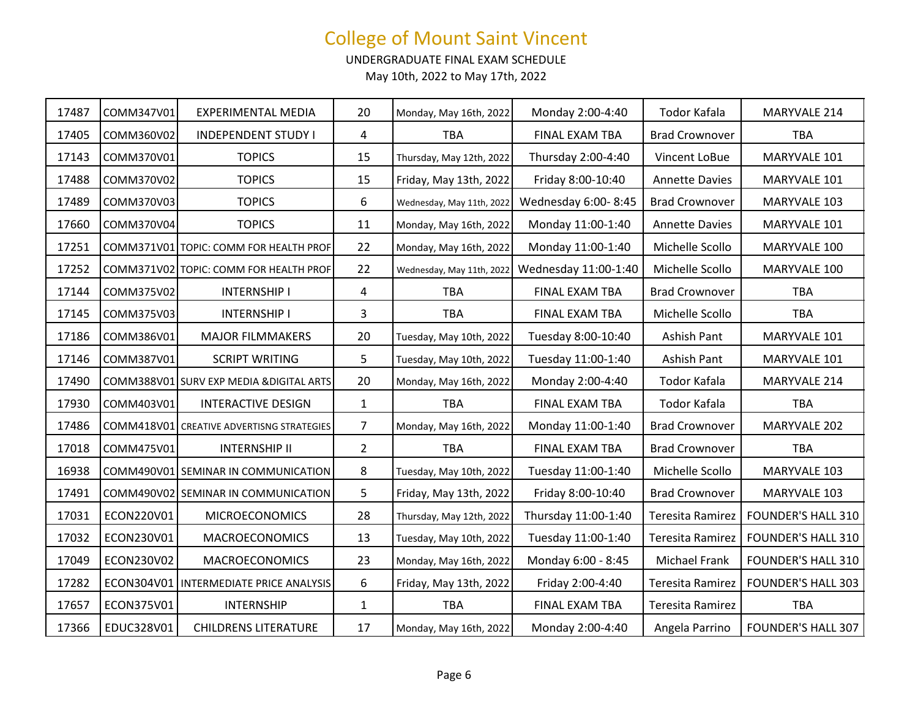UNDERGRADUATE FINAL EXAM SCHEDULE

| 17487 | COMM347V01 | EXPERIMENTAL MEDIA                        | 20             | Monday, May 16th, 2022    | Monday 2:00-4:40     | Todor Kafala          | MARYVALE 214              |
|-------|------------|-------------------------------------------|----------------|---------------------------|----------------------|-----------------------|---------------------------|
| 17405 | COMM360V02 | <b>INDEPENDENT STUDY I</b>                | 4              | <b>TBA</b>                | FINAL EXAM TBA       | <b>Brad Crownover</b> | <b>TBA</b>                |
| 17143 | COMM370V01 | <b>TOPICS</b>                             | 15             | Thursday, May 12th, 2022  | Thursday 2:00-4:40   | Vincent LoBue         | MARYVALE 101              |
| 17488 | COMM370V02 | <b>TOPICS</b>                             | 15             | Friday, May 13th, 2022    | Friday 8:00-10:40    | <b>Annette Davies</b> | MARYVALE 101              |
| 17489 | COMM370V03 | <b>TOPICS</b>                             | 6              | Wednesday, May 11th, 2022 | Wednesday 6:00-8:45  | <b>Brad Crownover</b> | MARYVALE 103              |
| 17660 | COMM370V04 | <b>TOPICS</b>                             | 11             | Monday, May 16th, 2022    | Monday 11:00-1:40    | <b>Annette Davies</b> | MARYVALE 101              |
| 17251 |            | COMM371V01 TOPIC: COMM FOR HEALTH PROF    | 22             | Monday, May 16th, 2022    | Monday 11:00-1:40    | Michelle Scollo       | MARYVALE 100              |
| 17252 |            | COMM371V02 TOPIC: COMM FOR HEALTH PROF    | 22             | Wednesday, May 11th, 2022 | Wednesday 11:00-1:40 | Michelle Scollo       | MARYVALE 100              |
| 17144 | COMM375V02 | <b>INTERNSHIP I</b>                       | 4              | <b>TBA</b>                | FINAL EXAM TBA       | <b>Brad Crownover</b> | TBA                       |
| 17145 | COMM375V03 | <b>INTERNSHIP I</b>                       | 3              | TBA                       | FINAL EXAM TBA       | Michelle Scollo       | <b>TBA</b>                |
| 17186 | COMM386V01 | <b>MAJOR FILMMAKERS</b>                   | 20             | Tuesday, May 10th, 2022   | Tuesday 8:00-10:40   | Ashish Pant           | MARYVALE 101              |
| 17146 | COMM387V01 | <b>SCRIPT WRITING</b>                     | 5              | Tuesday, May 10th, 2022   | Tuesday 11:00-1:40   | Ashish Pant           | MARYVALE 101              |
| 17490 |            | COMM388V01 SURV EXP MEDIA & DIGITAL ARTS  | 20             | Monday, May 16th, 2022    | Monday 2:00-4:40     | Todor Kafala          | MARYVALE 214              |
| 17930 | COMM403V01 | <b>INTERACTIVE DESIGN</b>                 | $\mathbf{1}$   | <b>TBA</b>                | FINAL EXAM TBA       | Todor Kafala          | TBA                       |
| 17486 |            | COMM418V01 CREATIVE ADVERTISNG STRATEGIES | $\overline{7}$ | Monday, May 16th, 2022    | Monday 11:00-1:40    | <b>Brad Crownover</b> | MARYVALE 202              |
| 17018 | COMM475V01 | <b>INTERNSHIP II</b>                      | $\overline{2}$ | <b>TBA</b>                | FINAL EXAM TBA       | <b>Brad Crownover</b> | TBA                       |
| 16938 |            | COMM490V01 SEMINAR IN COMMUNICATION       | 8              | Tuesday, May 10th, 2022   | Tuesday 11:00-1:40   | Michelle Scollo       | MARYVALE 103              |
| 17491 |            | COMM490V02 SEMINAR IN COMMUNICATION       | 5              | Friday, May 13th, 2022    | Friday 8:00-10:40    | <b>Brad Crownover</b> | MARYVALE 103              |
| 17031 | ECON220V01 | <b>MICROECONOMICS</b>                     | 28             | Thursday, May 12th, 2022  | Thursday 11:00-1:40  | Teresita Ramirez      | <b>FOUNDER'S HALL 310</b> |
| 17032 | ECON230V01 | <b>MACROECONOMICS</b>                     | 13             | Tuesday, May 10th, 2022   | Tuesday 11:00-1:40   | Teresita Ramirez      | <b>FOUNDER'S HALL 310</b> |
| 17049 | ECON230V02 | <b>MACROECONOMICS</b>                     | 23             | Monday, May 16th, 2022    | Monday 6:00 - 8:45   | Michael Frank         | <b>FOUNDER'S HALL 310</b> |
| 17282 |            | ECON304V01   INTERMEDIATE PRICE ANALYSIS  | 6              | Friday, May 13th, 2022    | Friday 2:00-4:40     | Teresita Ramirez      | <b>FOUNDER'S HALL 303</b> |
| 17657 | ECON375V01 | <b>INTERNSHIP</b>                         | $\mathbf{1}$   | TBA                       | FINAL EXAM TBA       | Teresita Ramirez      | TBA                       |
| 17366 | EDUC328V01 | <b>CHILDRENS LITERATURE</b>               | 17             | Monday, May 16th, 2022    | Monday 2:00-4:40     | Angela Parrino        | <b>FOUNDER'S HALL 307</b> |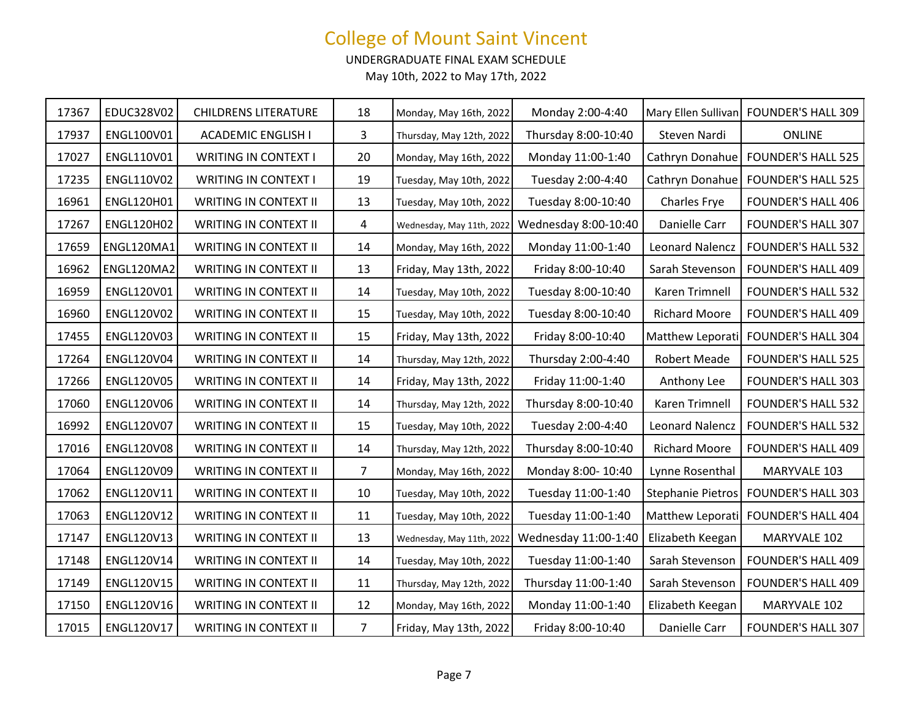UNDERGRADUATE FINAL EXAM SCHEDULE

| 17367 | EDUC328V02        | <b>CHILDRENS LITERATURE</b>  | 18             | Monday, May 16th, 2022    | Monday 2:00-4:40     |                          | Mary Ellen Sullivan FOUNDER'S HALL 309 |
|-------|-------------------|------------------------------|----------------|---------------------------|----------------------|--------------------------|----------------------------------------|
| 17937 | ENGL100V01        | <b>ACADEMIC ENGLISH I</b>    | 3              | Thursday, May 12th, 2022  | Thursday 8:00-10:40  | Steven Nardi             | <b>ONLINE</b>                          |
| 17027 | ENGL110V01        | <b>WRITING IN CONTEXT I</b>  | 20             | Monday, May 16th, 2022    | Monday 11:00-1:40    | Cathryn Donahue          | <b>FOUNDER'S HALL 525</b>              |
| 17235 | ENGL110V02        | <b>WRITING IN CONTEXT I</b>  | 19             | Tuesday, May 10th, 2022   | Tuesday 2:00-4:40    | Cathryn Donahue          | <b>FOUNDER'S HALL 525</b>              |
| 16961 | ENGL120H01        | WRITING IN CONTEXT II        | 13             | Tuesday, May 10th, 2022   | Tuesday 8:00-10:40   | <b>Charles Frye</b>      | <b>FOUNDER'S HALL 406</b>              |
| 17267 | <b>ENGL120H02</b> | WRITING IN CONTEXT II        | 4              | Wednesday, May 11th, 2022 | Wednesday 8:00-10:40 | Danielle Carr            | <b>FOUNDER'S HALL 307</b>              |
| 17659 | ENGL120MA1        | <b>WRITING IN CONTEXT II</b> | 14             | Monday, May 16th, 2022    | Monday 11:00-1:40    | <b>Leonard Nalencz</b>   | <b>FOUNDER'S HALL 532</b>              |
| 16962 | ENGL120MA2        | WRITING IN CONTEXT II        | 13             | Friday, May 13th, 2022    | Friday 8:00-10:40    | Sarah Stevenson          | <b>FOUNDER'S HALL 409</b>              |
| 16959 | ENGL120V01        | <b>WRITING IN CONTEXT II</b> | 14             | Tuesday, May 10th, 2022   | Tuesday 8:00-10:40   | Karen Trimnell           | <b>FOUNDER'S HALL 532</b>              |
| 16960 | ENGL120V02        | <b>WRITING IN CONTEXT II</b> | 15             | Tuesday, May 10th, 2022   | Tuesday 8:00-10:40   | <b>Richard Moore</b>     | <b>FOUNDER'S HALL 409</b>              |
| 17455 | ENGL120V03        | WRITING IN CONTEXT II        | 15             | Friday, May 13th, 2022    | Friday 8:00-10:40    | Matthew Leporati         | <b>FOUNDER'S HALL 304</b>              |
| 17264 | ENGL120V04        | WRITING IN CONTEXT II        | 14             | Thursday, May 12th, 2022  | Thursday 2:00-4:40   | <b>Robert Meade</b>      | <b>FOUNDER'S HALL 525</b>              |
| 17266 | <b>ENGL120V05</b> | WRITING IN CONTEXT II        | 14             | Friday, May 13th, 2022    | Friday 11:00-1:40    | Anthony Lee              | <b>FOUNDER'S HALL 303</b>              |
| 17060 | ENGL120V06        | <b>WRITING IN CONTEXT II</b> | 14             | Thursday, May 12th, 2022  | Thursday 8:00-10:40  | Karen Trimnell           | <b>FOUNDER'S HALL 532</b>              |
| 16992 | ENGL120V07        | WRITING IN CONTEXT II        | 15             | Tuesday, May 10th, 2022   | Tuesday 2:00-4:40    | <b>Leonard Nalencz</b>   | <b>FOUNDER'S HALL 532</b>              |
| 17016 | <b>ENGL120V08</b> | WRITING IN CONTEXT II        | 14             | Thursday, May 12th, 2022  | Thursday 8:00-10:40  | <b>Richard Moore</b>     | <b>FOUNDER'S HALL 409</b>              |
| 17064 | ENGL120V09        | WRITING IN CONTEXT II        | $\overline{7}$ | Monday, May 16th, 2022    | Monday 8:00-10:40    | Lynne Rosenthal          | MARYVALE 103                           |
| 17062 | ENGL120V11        | WRITING IN CONTEXT II        | 10             | Tuesday, May 10th, 2022   | Tuesday 11:00-1:40   | <b>Stephanie Pietros</b> | <b>FOUNDER'S HALL 303</b>              |
| 17063 | ENGL120V12        | WRITING IN CONTEXT II        | 11             | Tuesday, May 10th, 2022   | Tuesday 11:00-1:40   | Matthew Leporati         | <b>FOUNDER'S HALL 404</b>              |
| 17147 | ENGL120V13        | WRITING IN CONTEXT II        | 13             | Wednesday, May 11th, 2022 | Wednesday 11:00-1:40 | Elizabeth Keegan         | MARYVALE 102                           |
| 17148 | ENGL120V14        | <b>WRITING IN CONTEXT II</b> | 14             | Tuesday, May 10th, 2022   | Tuesday 11:00-1:40   | Sarah Stevenson          | <b>FOUNDER'S HALL 409</b>              |
| 17149 | <b>ENGL120V15</b> | WRITING IN CONTEXT II        | 11             | Thursday, May 12th, 2022  | Thursday 11:00-1:40  | Sarah Stevenson          | <b>FOUNDER'S HALL 409</b>              |
| 17150 | ENGL120V16        | WRITING IN CONTEXT II        | 12             | Monday, May 16th, 2022    | Monday 11:00-1:40    | Elizabeth Keegan         | MARYVALE 102                           |
| 17015 | ENGL120V17        | <b>WRITING IN CONTEXT II</b> | $\overline{7}$ | Friday, May 13th, 2022    | Friday 8:00-10:40    | Danielle Carr            | <b>FOUNDER'S HALL 307</b>              |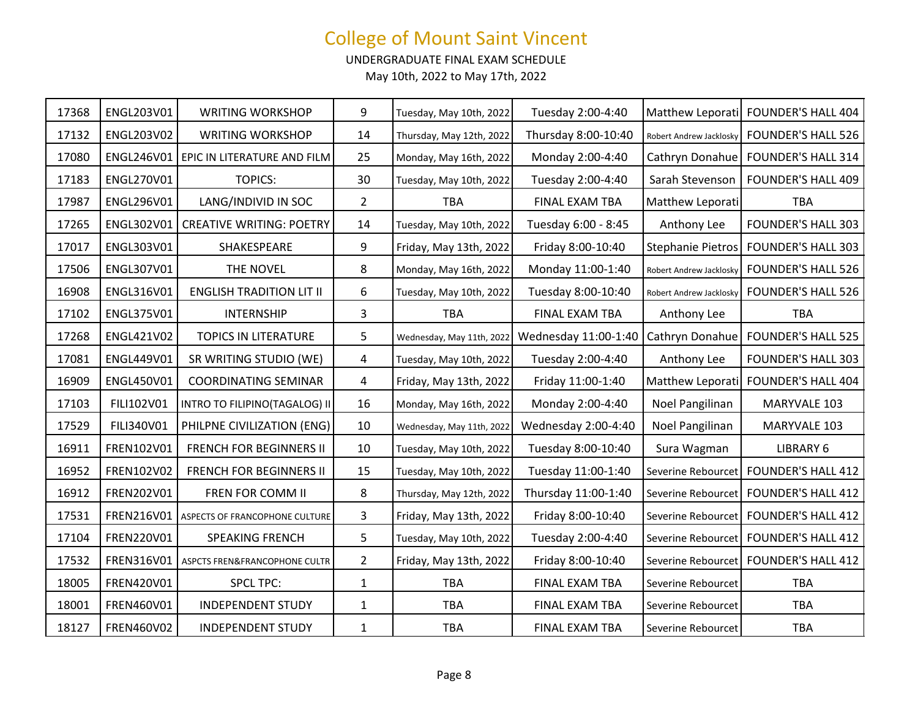UNDERGRADUATE FINAL EXAM SCHEDULE

| 17368 | ENGL203V01 | <b>WRITING WORKSHOP</b>         | 9              | Tuesday, May 10th, 2022   | Tuesday 2:00-4:40    |                          | Matthew Leporati FOUNDER'S HALL 404 |
|-------|------------|---------------------------------|----------------|---------------------------|----------------------|--------------------------|-------------------------------------|
| 17132 | ENGL203V02 | <b>WRITING WORKSHOP</b>         | 14             | Thursday, May 12th, 2022  | Thursday 8:00-10:40  | Robert Andrew Jacklosky  | <b>FOUNDER'S HALL 526</b>           |
| 17080 | ENGL246V01 | EPIC IN LITERATURE AND FILM     | 25             | Monday, May 16th, 2022    | Monday 2:00-4:40     | Cathryn Donahue          | <b>FOUNDER'S HALL 314</b>           |
| 17183 | ENGL270V01 | <b>TOPICS:</b>                  | 30             | Tuesday, May 10th, 2022   | Tuesday 2:00-4:40    | Sarah Stevenson          | <b>FOUNDER'S HALL 409</b>           |
| 17987 | ENGL296V01 | LANG/INDIVID IN SOC             | $\overline{2}$ | <b>TBA</b>                | FINAL EXAM TBA       | Matthew Leporati         | <b>TBA</b>                          |
| 17265 | ENGL302V01 | <b>CREATIVE WRITING: POETRY</b> | 14             | Tuesday, May 10th, 2022   | Tuesday 6:00 - 8:45  | Anthony Lee              | <b>FOUNDER'S HALL 303</b>           |
| 17017 | ENGL303V01 | SHAKESPEARE                     | 9              | Friday, May 13th, 2022    | Friday 8:00-10:40    | <b>Stephanie Pietros</b> | <b>FOUNDER'S HALL 303</b>           |
| 17506 | ENGL307V01 | THE NOVEL                       | 8              | Monday, May 16th, 2022    | Monday 11:00-1:40    | Robert Andrew Jacklosky  | <b>FOUNDER'S HALL 526</b>           |
| 16908 | ENGL316V01 | <b>ENGLISH TRADITION LIT II</b> | 6              | Tuesday, May 10th, 2022   | Tuesday 8:00-10:40   | Robert Andrew Jacklosky  | <b>FOUNDER'S HALL 526</b>           |
| 17102 | ENGL375V01 | <b>INTERNSHIP</b>               | 3              | <b>TBA</b>                | FINAL EXAM TBA       | Anthony Lee              | <b>TBA</b>                          |
| 17268 | ENGL421V02 | TOPICS IN LITERATURE            | 5              | Wednesday, May 11th, 2022 | Wednesday 11:00-1:40 | Cathryn Donahue          | <b>FOUNDER'S HALL 525</b>           |
| 17081 | ENGL449V01 | SR WRITING STUDIO (WE)          | 4              | Tuesday, May 10th, 2022   | Tuesday 2:00-4:40    | Anthony Lee              | <b>FOUNDER'S HALL 303</b>           |
| 16909 | ENGL450V01 | <b>COORDINATING SEMINAR</b>     | 4              | Friday, May 13th, 2022    | Friday 11:00-1:40    |                          | Matthew Leporati FOUNDER'S HALL 404 |
| 17103 | FILI102V01 | INTRO TO FILIPINO(TAGALOG) II   | 16             | Monday, May 16th, 2022    | Monday 2:00-4:40     | Noel Pangilinan          | MARYVALE 103                        |
| 17529 | FILI340V01 | PHILPNE CIVILIZATION (ENG)      | 10             | Wednesday, May 11th, 2022 | Wednesday 2:00-4:40  | Noel Pangilinan          | MARYVALE 103                        |
| 16911 | FREN102V01 | FRENCH FOR BEGINNERS II         | 10             | Tuesday, May 10th, 2022   | Tuesday 8:00-10:40   | Sura Wagman              | LIBRARY 6                           |
| 16952 | FREN102V02 | <b>FRENCH FOR BEGINNERS II</b>  | 15             | Tuesday, May 10th, 2022   | Tuesday 11:00-1:40   | Severine Rebourcet       | <b>FOUNDER'S HALL 412</b>           |
| 16912 | FREN202V01 | FREN FOR COMM II                | 8              | Thursday, May 12th, 2022  | Thursday 11:00-1:40  | Severine Rebourcet       | <b>FOUNDER'S HALL 412</b>           |
| 17531 | FREN216V01 | ASPECTS OF FRANCOPHONE CULTURE  | 3              | Friday, May 13th, 2022    | Friday 8:00-10:40    | Severine Rebourcet       | <b>FOUNDER'S HALL 412</b>           |
| 17104 | FREN220V01 | <b>SPEAKING FRENCH</b>          | 5              | Tuesday, May 10th, 2022   | Tuesday 2:00-4:40    | Severine Rebourcet       | <b>FOUNDER'S HALL 412</b>           |
| 17532 | FREN316V01 | ASPCTS FREN&FRANCOPHONE CULTR   | $\overline{2}$ | Friday, May 13th, 2022    | Friday 8:00-10:40    | Severine Rebourcet       | <b>FOUNDER'S HALL 412</b>           |
| 18005 | FREN420V01 | <b>SPCL TPC:</b>                | $\mathbf{1}$   | <b>TBA</b>                | FINAL EXAM TBA       | Severine Rebourcet       | <b>TBA</b>                          |
| 18001 | FREN460V01 | <b>INDEPENDENT STUDY</b>        | 1              | <b>TBA</b>                | FINAL EXAM TBA       | Severine Rebourcet       | <b>TBA</b>                          |
| 18127 | FREN460V02 | <b>INDEPENDENT STUDY</b>        | $\mathbf 1$    | TBA                       | FINAL EXAM TBA       | Severine Rebourcet       | <b>TBA</b>                          |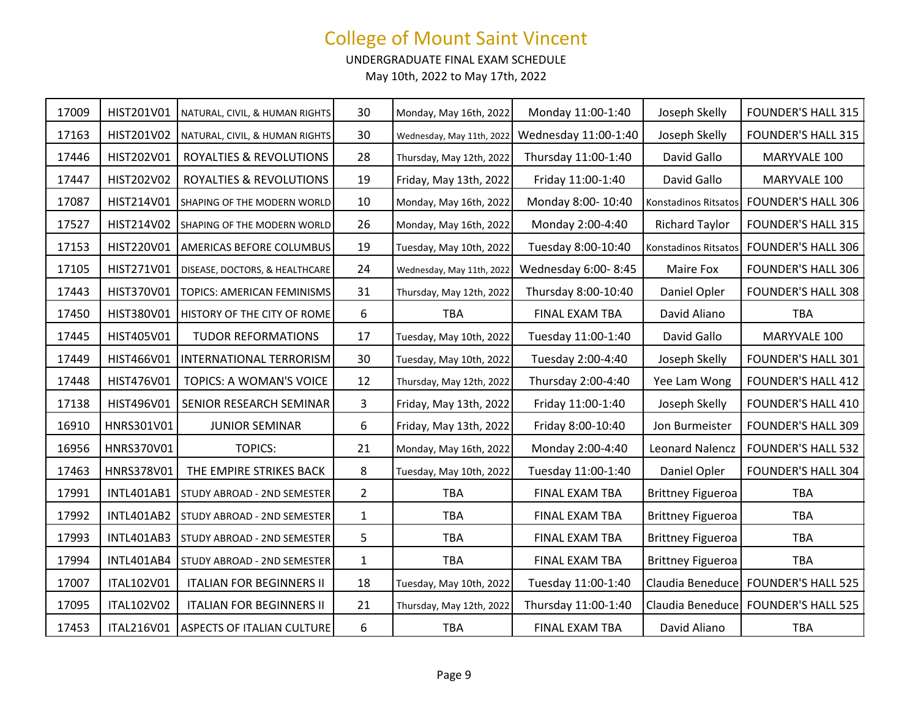UNDERGRADUATE FINAL EXAM SCHEDULE

| 17009 | HIST201V01        | NATURAL, CIVIL, & HUMAN RIGHTS    | 30             | Monday, May 16th, 2022    | Monday 11:00-1:40    | Joseph Skelly            | <b>FOUNDER'S HALL 315</b>           |
|-------|-------------------|-----------------------------------|----------------|---------------------------|----------------------|--------------------------|-------------------------------------|
| 17163 | HIST201V02        | NATURAL, CIVIL, & HUMAN RIGHTS    | 30             | Wednesday, May 11th, 2022 | Wednesday 11:00-1:40 | Joseph Skelly            | <b>FOUNDER'S HALL 315</b>           |
| 17446 | HIST202V01        | ROYALTIES & REVOLUTIONS           | 28             | Thursday, May 12th, 2022  | Thursday 11:00-1:40  | David Gallo              | MARYVALE 100                        |
| 17447 | HIST202V02        | ROYALTIES & REVOLUTIONS           | 19             | Friday, May 13th, 2022    | Friday 11:00-1:40    | David Gallo              | MARYVALE 100                        |
| 17087 | HIST214V01        | SHAPING OF THE MODERN WORLD       | 10             | Monday, May 16th, 2022    | Monday 8:00-10:40    | Konstadinos Ritsatos     | <b>FOUNDER'S HALL 306</b>           |
| 17527 | HIST214V02        | SHAPING OF THE MODERN WORLD       | 26             | Monday, May 16th, 2022    | Monday 2:00-4:40     | <b>Richard Taylor</b>    | <b>FOUNDER'S HALL 315</b>           |
| 17153 | HIST220V01        | AMERICAS BEFORE COLUMBUS          | 19             | Tuesday, May 10th, 2022   | Tuesday 8:00-10:40   | Konstadinos Ritsatos     | <b>FOUNDER'S HALL 306</b>           |
| 17105 | HIST271V01        | DISEASE, DOCTORS, & HEALTHCARE    | 24             | Wednesday, May 11th, 2022 | Wednesday 6:00-8:45  | Maire Fox                | <b>FOUNDER'S HALL 306</b>           |
| 17443 | HIST370V01        | TOPICS: AMERICAN FEMINISMS        | 31             | Thursday, May 12th, 2022  | Thursday 8:00-10:40  | Daniel Opler             | FOUNDER'S HALL 308                  |
| 17450 | HIST380V01        | HISTORY OF THE CITY OF ROME       | 6              | <b>TBA</b>                | FINAL EXAM TBA       | David Aliano             | <b>TBA</b>                          |
| 17445 | HIST405V01        | <b>TUDOR REFORMATIONS</b>         | 17             | Tuesday, May 10th, 2022   | Tuesday 11:00-1:40   | David Gallo              | MARYVALE 100                        |
| 17449 | HIST466V01        | INTERNATIONAL TERRORISM           | 30             | Tuesday, May 10th, 2022   | Tuesday 2:00-4:40    | Joseph Skelly            | <b>FOUNDER'S HALL 301</b>           |
| 17448 | HIST476V01        | TOPICS: A WOMAN'S VOICE           | 12             | Thursday, May 12th, 2022  | Thursday 2:00-4:40   | Yee Lam Wong             | <b>FOUNDER'S HALL 412</b>           |
| 17138 | HIST496V01        | SENIOR RESEARCH SEMINAR           | 3              | Friday, May 13th, 2022    | Friday 11:00-1:40    | Joseph Skelly            | <b>FOUNDER'S HALL 410</b>           |
| 16910 | HNRS301V01        | <b>JUNIOR SEMINAR</b>             | 6              | Friday, May 13th, 2022    | Friday 8:00-10:40    | Jon Burmeister           | <b>FOUNDER'S HALL 309</b>           |
| 16956 | HNRS370V01        | <b>TOPICS:</b>                    | 21             | Monday, May 16th, 2022    | Monday 2:00-4:40     | <b>Leonard Nalencz</b>   | <b>FOUNDER'S HALL 532</b>           |
| 17463 | HNRS378V01        | THE EMPIRE STRIKES BACK           | 8              | Tuesday, May 10th, 2022   | Tuesday 11:00-1:40   | Daniel Opler             | <b>FOUNDER'S HALL 304</b>           |
| 17991 | <b>INTL401AB1</b> | STUDY ABROAD - 2ND SEMESTER       | $\overline{2}$ | <b>TBA</b>                | FINAL EXAM TBA       | <b>Brittney Figueroa</b> | <b>TBA</b>                          |
| 17992 | <b>INTL401AB2</b> | STUDY ABROAD - 2ND SEMESTER       | $\mathbf{1}$   | <b>TBA</b>                | FINAL EXAM TBA       | <b>Brittney Figueroa</b> | <b>TBA</b>                          |
| 17993 | <b>INTL401AB3</b> | STUDY ABROAD - 2ND SEMESTER       | 5              | <b>TBA</b>                | FINAL EXAM TBA       | <b>Brittney Figueroa</b> | <b>TBA</b>                          |
| 17994 | INTL401AB4        | STUDY ABROAD - 2ND SEMESTER       | $\mathbf{1}$   | <b>TBA</b>                | FINAL EXAM TBA       | <b>Brittney Figueroa</b> | <b>TBA</b>                          |
| 17007 | ITAL102V01        | <b>ITALIAN FOR BEGINNERS II</b>   | 18             | Tuesday, May 10th, 2022   | Tuesday 11:00-1:40   |                          | Claudia Beneduce FOUNDER'S HALL 525 |
| 17095 | ITAL102V02        | <b>ITALIAN FOR BEGINNERS II</b>   | 21             | Thursday, May 12th, 2022  | Thursday 11:00-1:40  |                          | Claudia Beneduce FOUNDER'S HALL 525 |
| 17453 | ITAL216V01        | <b>ASPECTS OF ITALIAN CULTURE</b> | 6              | <b>TBA</b>                | FINAL EXAM TBA       | David Aliano             | <b>TBA</b>                          |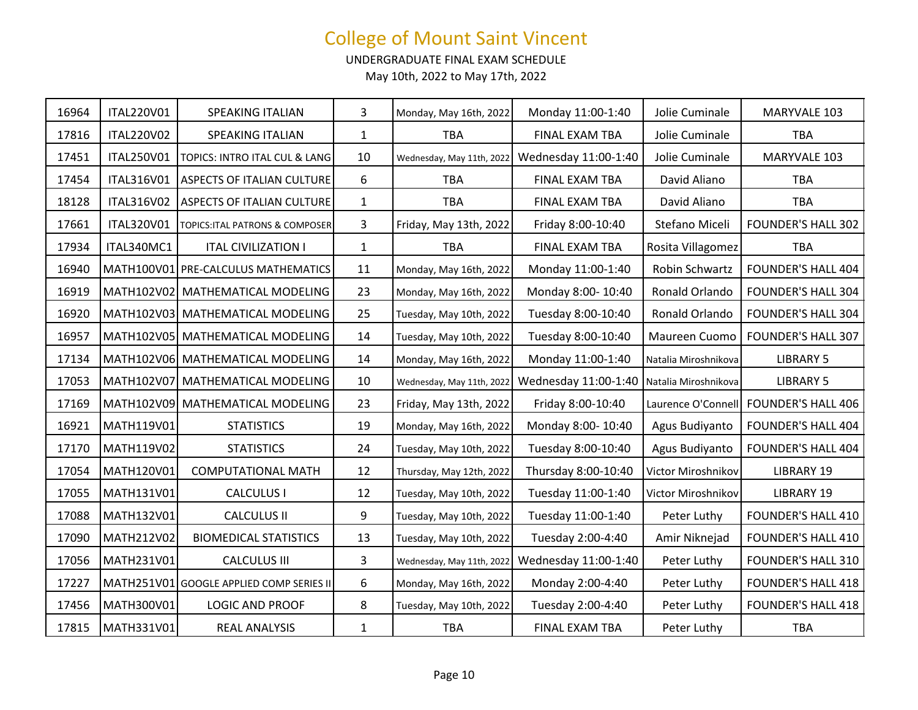UNDERGRADUATE FINAL EXAM SCHEDULE

| 16964 | ITAL220V01 | SPEAKING ITALIAN                         | 3            | Monday, May 16th, 2022    | Monday 11:00-1:40                         | Jolie Cuminale       | MARYVALE 103              |
|-------|------------|------------------------------------------|--------------|---------------------------|-------------------------------------------|----------------------|---------------------------|
| 17816 | ITAL220V02 | SPEAKING ITALIAN                         | $\mathbf{1}$ | <b>TBA</b>                | FINAL EXAM TBA                            | Jolie Cuminale       | <b>TBA</b>                |
| 17451 | ITAL250V01 | TOPICS: INTRO ITAL CUL & LANG            | 10           | Wednesday, May 11th, 2022 | Wednesday 11:00-1:40                      | Jolie Cuminale       | MARYVALE 103              |
| 17454 | ITAL316V01 | <b>ASPECTS OF ITALIAN CULTURE</b>        | 6            | <b>TBA</b>                | FINAL EXAM TBA                            | David Aliano         | <b>TBA</b>                |
| 18128 | ITAL316V02 | ASPECTS OF ITALIAN CULTURE               | $\mathbf{1}$ | <b>TBA</b>                | FINAL EXAM TBA                            | David Aliano         | <b>TBA</b>                |
| 17661 | ITAL320V01 | TOPICS: ITAL PATRONS & COMPOSER          | 3            | Friday, May 13th, 2022    | Friday 8:00-10:40                         | Stefano Miceli       | <b>FOUNDER'S HALL 302</b> |
| 17934 | ITAL340MC1 | <b>ITAL CIVILIZATION I</b>               | $\mathbf{1}$ | <b>TBA</b>                | FINAL EXAM TBA                            | Rosita Villagomez    | <b>TBA</b>                |
| 16940 |            | MATH100V01 PRE-CALCULUS MATHEMATICS      | 11           | Monday, May 16th, 2022    | Monday 11:00-1:40                         | Robin Schwartz       | <b>FOUNDER'S HALL 404</b> |
| 16919 |            | MATH102V02 MATHEMATICAL MODELING         | 23           | Monday, May 16th, 2022    | Monday 8:00-10:40                         | Ronald Orlando       | <b>FOUNDER'S HALL 304</b> |
| 16920 |            | MATH102V03 MATHEMATICAL MODELING         | 25           | Tuesday, May 10th, 2022   | Tuesday 8:00-10:40                        | Ronald Orlando       | <b>FOUNDER'S HALL 304</b> |
| 16957 |            | MATH102V05 MATHEMATICAL MODELING         | 14           | Tuesday, May 10th, 2022   | Tuesday 8:00-10:40                        | Maureen Cuomo        | <b>FOUNDER'S HALL 307</b> |
| 17134 |            | MATH102V06 MATHEMATICAL MODELING         | 14           | Monday, May 16th, 2022    | Monday 11:00-1:40                         | Natalia Miroshnikova | <b>LIBRARY 5</b>          |
| 17053 |            | MATH102V07 MATHEMATICAL MODELING         | 10           | Wednesday, May 11th, 2022 | Wednesday 11:00-1:40 Natalia Miroshnikova |                      | <b>LIBRARY 5</b>          |
| 17169 |            | MATH102V09 MATHEMATICAL MODELING         | 23           | Friday, May 13th, 2022    | Friday 8:00-10:40                         | Laurence O'Connell   | <b>FOUNDER'S HALL 406</b> |
| 16921 | MATH119V01 | <b>STATISTICS</b>                        | 19           | Monday, May 16th, 2022    | Monday 8:00-10:40                         | Agus Budiyanto       | <b>FOUNDER'S HALL 404</b> |
| 17170 | MATH119V02 | <b>STATISTICS</b>                        | 24           | Tuesday, May 10th, 2022   | Tuesday 8:00-10:40                        | Agus Budiyanto       | <b>FOUNDER'S HALL 404</b> |
| 17054 | MATH120V01 | <b>COMPUTATIONAL MATH</b>                | 12           | Thursday, May 12th, 2022  | Thursday 8:00-10:40                       | Victor Miroshnikov   | LIBRARY 19                |
| 17055 | MATH131V01 | <b>CALCULUS I</b>                        | 12           | Tuesday, May 10th, 2022   | Tuesday 11:00-1:40                        | Victor Miroshnikov   | LIBRARY 19                |
| 17088 | MATH132V01 | <b>CALCULUS II</b>                       | 9            | Tuesday, May 10th, 2022   | Tuesday 11:00-1:40                        | Peter Luthy          | <b>FOUNDER'S HALL 410</b> |
| 17090 | MATH212V02 | <b>BIOMEDICAL STATISTICS</b>             | 13           | Tuesday, May 10th, 2022   | Tuesday 2:00-4:40                         | Amir Niknejad        | <b>FOUNDER'S HALL 410</b> |
| 17056 | MATH231V01 | <b>CALCULUS III</b>                      | 3            | Wednesday, May 11th, 2022 | Wednesday 11:00-1:40                      | Peter Luthy          | <b>FOUNDER'S HALL 310</b> |
| 17227 |            | MATH251V01 GOOGLE APPLIED COMP SERIES II | 6            | Monday, May 16th, 2022    | Monday 2:00-4:40                          | Peter Luthy          | <b>FOUNDER'S HALL 418</b> |
| 17456 | MATH300V01 | <b>LOGIC AND PROOF</b>                   | 8            | Tuesday, May 10th, 2022   | Tuesday 2:00-4:40                         | Peter Luthy          | <b>FOUNDER'S HALL 418</b> |
| 17815 | MATH331V01 | <b>REAL ANALYSIS</b>                     | $\mathbf{1}$ | TBA                       | FINAL EXAM TBA                            | Peter Luthy          | <b>TBA</b>                |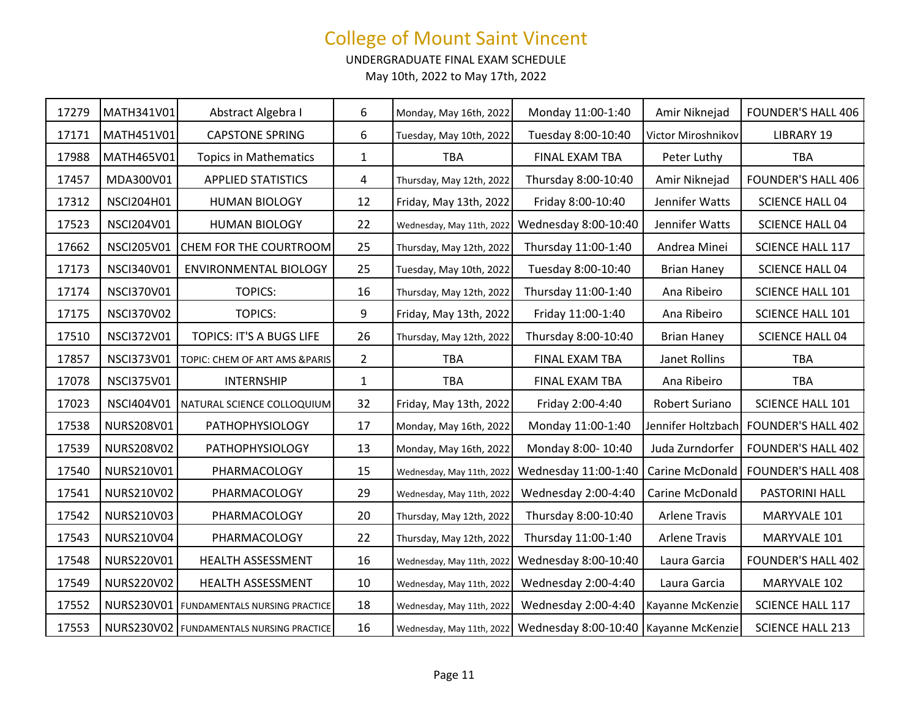UNDERGRADUATE FINAL EXAM SCHEDULE

| 17279 | MATH341V01        | Abstract Algebra I                         | 6              | Monday, May 16th, 2022    | Monday 11:00-1:40    | Amir Niknejad        | <b>FOUNDER'S HALL 406</b> |
|-------|-------------------|--------------------------------------------|----------------|---------------------------|----------------------|----------------------|---------------------------|
| 17171 | MATH451V01        | <b>CAPSTONE SPRING</b>                     | 6              | Tuesday, May 10th, 2022   | Tuesday 8:00-10:40   | Victor Miroshnikov   | <b>LIBRARY 19</b>         |
| 17988 | MATH465V01        | <b>Topics in Mathematics</b>               | $\mathbf{1}$   | <b>TBA</b>                | FINAL EXAM TBA       | Peter Luthy          | <b>TBA</b>                |
| 17457 | MDA300V01         | <b>APPLIED STATISTICS</b>                  | 4              | Thursday, May 12th, 2022  | Thursday 8:00-10:40  | Amir Niknejad        | <b>FOUNDER'S HALL 406</b> |
| 17312 | <b>NSCI204H01</b> | <b>HUMAN BIOLOGY</b>                       | 12             | Friday, May 13th, 2022    | Friday 8:00-10:40    | Jennifer Watts       | <b>SCIENCE HALL 04</b>    |
| 17523 | NSCI204V01        | <b>HUMAN BIOLOGY</b>                       | 22             | Wednesday, May 11th, 2022 | Wednesday 8:00-10:40 | Jennifer Watts       | <b>SCIENCE HALL 04</b>    |
| 17662 | <b>NSCI205V01</b> | CHEM FOR THE COURTROOM                     | 25             | Thursday, May 12th, 2022  | Thursday 11:00-1:40  | Andrea Minei         | <b>SCIENCE HALL 117</b>   |
| 17173 | <b>NSCI340V01</b> | ENVIRONMENTAL BIOLOGY                      | 25             | Tuesday, May 10th, 2022   | Tuesday 8:00-10:40   | <b>Brian Haney</b>   | <b>SCIENCE HALL 04</b>    |
| 17174 | <b>NSCI370V01</b> | <b>TOPICS:</b>                             | 16             | Thursday, May 12th, 2022  | Thursday 11:00-1:40  | Ana Ribeiro          | SCIENCE HALL 101          |
| 17175 | <b>NSCI370V02</b> | <b>TOPICS:</b>                             | 9              | Friday, May 13th, 2022    | Friday 11:00-1:40    | Ana Ribeiro          | SCIENCE HALL 101          |
| 17510 | <b>NSCI372V01</b> | TOPICS: IT'S A BUGS LIFE                   | 26             | Thursday, May 12th, 2022  | Thursday 8:00-10:40  | <b>Brian Haney</b>   | <b>SCIENCE HALL 04</b>    |
| 17857 | <b>NSCI373V01</b> | TOPIC: CHEM OF ART AMS & PARIS             | $\overline{2}$ | <b>TBA</b>                | FINAL EXAM TBA       | Janet Rollins        | <b>TBA</b>                |
|       |                   |                                            |                |                           |                      |                      |                           |
| 17078 | <b>NSCI375V01</b> | <b>INTERNSHIP</b>                          | $\mathbf{1}$   | <b>TBA</b>                | FINAL EXAM TBA       | Ana Ribeiro          | <b>TBA</b>                |
| 17023 | NSCI404V01        | NATURAL SCIENCE COLLOQUIUM                 | 32             | Friday, May 13th, 2022    | Friday 2:00-4:40     | Robert Suriano       | SCIENCE HALL 101          |
| 17538 | NURS208V01        | <b>PATHOPHYSIOLOGY</b>                     | 17             | Monday, May 16th, 2022    | Monday 11:00-1:40    | Jennifer Holtzbach   | <b>FOUNDER'S HALL 402</b> |
| 17539 | NURS208V02        | <b>PATHOPHYSIOLOGY</b>                     | 13             | Monday, May 16th, 2022    | Monday 8:00-10:40    | Juda Zurndorfer      | <b>FOUNDER'S HALL 402</b> |
| 17540 | NURS210V01        | PHARMACOLOGY                               | 15             | Wednesday, May 11th, 2022 | Wednesday 11:00-1:40 | Carine McDonald      | <b>FOUNDER'S HALL 408</b> |
| 17541 | NURS210V02        | PHARMACOLOGY                               | 29             | Wednesday, May 11th, 2022 | Wednesday 2:00-4:40  | Carine McDonald      | PASTORINI HALL            |
| 17542 | NURS210V03        | PHARMACOLOGY                               | 20             | Thursday, May 12th, 2022  | Thursday 8:00-10:40  | <b>Arlene Travis</b> | MARYVALE 101              |
| 17543 | NURS210V04        | PHARMACOLOGY                               | 22             | Thursday, May 12th, 2022  | Thursday 11:00-1:40  | <b>Arlene Travis</b> | MARYVALE 101              |
| 17548 | NURS220V01        | HEALTH ASSESSMENT                          | 16             | Wednesday, May 11th, 2022 | Wednesday 8:00-10:40 | Laura Garcia         | <b>FOUNDER'S HALL 402</b> |
| 17549 | NURS220V02        | HEALTH ASSESSMENT                          | 10             | Wednesday, May 11th, 2022 | Wednesday 2:00-4:40  | Laura Garcia         | MARYVALE 102              |
| 17552 |                   | NURS230V01   FUNDAMENTALS NURSING PRACTICE | 18             | Wednesday, May 11th, 2022 | Wednesday 2:00-4:40  | Kayanne McKenzie     | <b>SCIENCE HALL 117</b>   |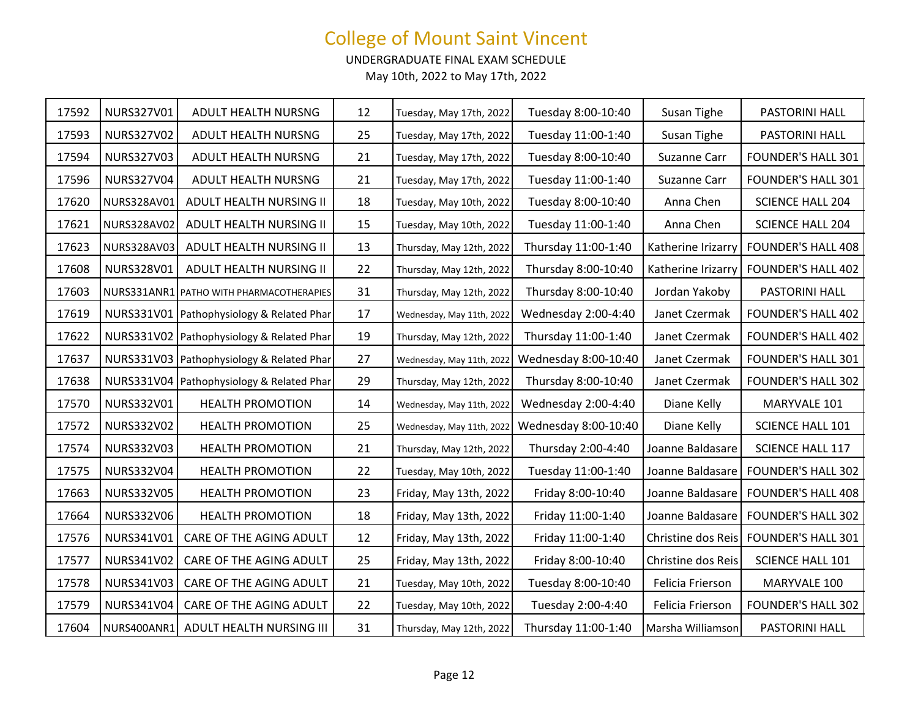UNDERGRADUATE FINAL EXAM SCHEDULE

| 17592 | NURS327V01  | ADULT HEALTH NURSNG                         | 12 | Tuesday, May 17th, 2022   | Tuesday 8:00-10:40   | Susan Tighe        | PASTORINI HALL            |
|-------|-------------|---------------------------------------------|----|---------------------------|----------------------|--------------------|---------------------------|
| 17593 | NURS327V02  | ADULT HEALTH NURSNG                         | 25 | Tuesday, May 17th, 2022   | Tuesday 11:00-1:40   | Susan Tighe        | PASTORINI HALL            |
| 17594 | NURS327V03  | ADULT HEALTH NURSNG                         | 21 | Tuesday, May 17th, 2022   | Tuesday 8:00-10:40   | Suzanne Carr       | <b>FOUNDER'S HALL 301</b> |
| 17596 | NURS327V04  | ADULT HEALTH NURSNG                         | 21 | Tuesday, May 17th, 2022   | Tuesday 11:00-1:40   | Suzanne Carr       | <b>FOUNDER'S HALL 301</b> |
| 17620 | NURS328AV01 | ADULT HEALTH NURSING II                     | 18 | Tuesday, May 10th, 2022   | Tuesday 8:00-10:40   | Anna Chen          | <b>SCIENCE HALL 204</b>   |
| 17621 | NURS328AV02 | ADULT HEALTH NURSING II                     | 15 | Tuesday, May 10th, 2022   | Tuesday 11:00-1:40   | Anna Chen          | <b>SCIENCE HALL 204</b>   |
| 17623 | NURS328AV03 | ADULT HEALTH NURSING II                     | 13 | Thursday, May 12th, 2022  | Thursday 11:00-1:40  | Katherine Irizarry | <b>FOUNDER'S HALL 408</b> |
| 17608 | NURS328V01  | ADULT HEALTH NURSING II                     | 22 | Thursday, May 12th, 2022  | Thursday 8:00-10:40  | Katherine Irizarry | <b>FOUNDER'S HALL 402</b> |
| 17603 |             | NURS331ANR1 PATHO WITH PHARMACOTHERAPIES    | 31 | Thursday, May 12th, 2022  | Thursday 8:00-10:40  | Jordan Yakoby      | PASTORINI HALL            |
| 17619 |             | NURS331V01 Pathophysiology & Related Phar   | 17 | Wednesday, May 11th, 2022 | Wednesday 2:00-4:40  | Janet Czermak      | <b>FOUNDER'S HALL 402</b> |
| 17622 |             | NURS331V02   Pathophysiology & Related Phar | 19 | Thursday, May 12th, 2022  | Thursday 11:00-1:40  | Janet Czermak      | <b>FOUNDER'S HALL 402</b> |
| 17637 | NURS331V03  | Pathophysiology & Related Phar              | 27 | Wednesday, May 11th, 2022 | Wednesday 8:00-10:40 | Janet Czermak      | <b>FOUNDER'S HALL 301</b> |
| 17638 |             | NURS331V04 Pathophysiology & Related Phar   | 29 | Thursday, May 12th, 2022  | Thursday 8:00-10:40  | Janet Czermak      | <b>FOUNDER'S HALL 302</b> |
| 17570 | NURS332V01  | <b>HEALTH PROMOTION</b>                     | 14 | Wednesday, May 11th, 2022 | Wednesday 2:00-4:40  | Diane Kelly        | MARYVALE 101              |
| 17572 | NURS332V02  | <b>HEALTH PROMOTION</b>                     | 25 | Wednesday, May 11th, 2022 | Wednesday 8:00-10:40 | Diane Kelly        | SCIENCE HALL 101          |
| 17574 | NURS332V03  | <b>HEALTH PROMOTION</b>                     | 21 | Thursday, May 12th, 2022  | Thursday 2:00-4:40   | Joanne Baldasare   | SCIENCE HALL 117          |
| 17575 | NURS332V04  | <b>HEALTH PROMOTION</b>                     | 22 | Tuesday, May 10th, 2022   | Tuesday 11:00-1:40   | Joanne Baldasare   | <b>FOUNDER'S HALL 302</b> |
| 17663 | NURS332V05  | <b>HEALTH PROMOTION</b>                     | 23 | Friday, May 13th, 2022    | Friday 8:00-10:40    | Joanne Baldasare   | <b>FOUNDER'S HALL 408</b> |
| 17664 | NURS332V06  | <b>HEALTH PROMOTION</b>                     | 18 | Friday, May 13th, 2022    | Friday 11:00-1:40    | Joanne Baldasare   | <b>FOUNDER'S HALL 302</b> |
| 17576 | NURS341V01  | CARE OF THE AGING ADULT                     | 12 | Friday, May 13th, 2022    | Friday 11:00-1:40    | Christine dos Reis | <b>FOUNDER'S HALL 301</b> |
| 17577 | NURS341V02  | CARE OF THE AGING ADULT                     | 25 | Friday, May 13th, 2022    | Friday 8:00-10:40    | Christine dos Reis | <b>SCIENCE HALL 101</b>   |
| 17578 | NURS341V03  | CARE OF THE AGING ADULT                     | 21 | Tuesday, May 10th, 2022   | Tuesday 8:00-10:40   | Felicia Frierson   | MARYVALE 100              |
| 17579 | NURS341V04  | CARE OF THE AGING ADULT                     | 22 | Tuesday, May 10th, 2022   | Tuesday 2:00-4:40    | Felicia Frierson   | <b>FOUNDER'S HALL 302</b> |
| 17604 |             | NURS400ANR1 ADULT HEALTH NURSING III        | 31 | Thursday, May 12th, 2022  | Thursday 11:00-1:40  | Marsha Williamson  | PASTORINI HALL            |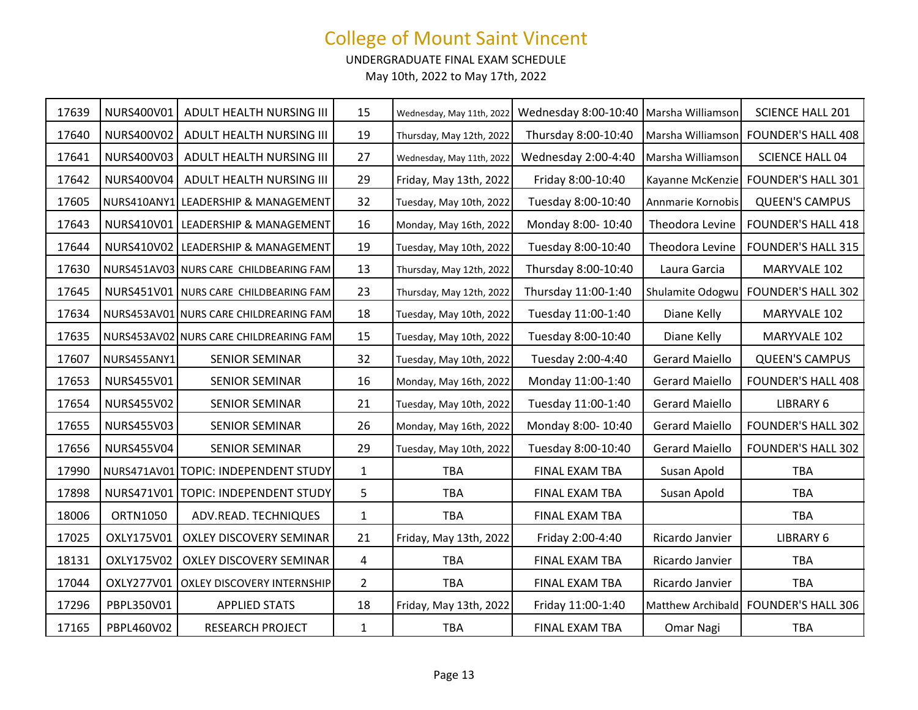UNDERGRADUATE FINAL EXAM SCHEDULE

| 17639 | NURS400V01        | ADULT HEALTH NURSING III               | 15             | Wednesday, May 11th, 2022 | Wednesday 8:00-10:40   Marsha Williamson |                       | <b>SCIENCE HALL 201</b>              |
|-------|-------------------|----------------------------------------|----------------|---------------------------|------------------------------------------|-----------------------|--------------------------------------|
| 17640 | NURS400V02        | ADULT HEALTH NURSING III               | 19             | Thursday, May 12th, 2022  | Thursday 8:00-10:40                      | Marsha Williamson     | <b>FOUNDER'S HALL 408</b>            |
| 17641 | NURS400V03        | ADULT HEALTH NURSING III               | 27             | Wednesday, May 11th, 2022 | Wednesday 2:00-4:40                      | Marsha Williamson     | <b>SCIENCE HALL 04</b>               |
| 17642 | NURS400V04        | ADULT HEALTH NURSING III               | 29             | Friday, May 13th, 2022    | Friday 8:00-10:40                        |                       | Kayanne McKenzie FOUNDER'S HALL 301  |
| 17605 |                   | NURS410ANY1 LEADERSHIP & MANAGEMENT    | 32             | Tuesday, May 10th, 2022   | Tuesday 8:00-10:40                       | Annmarie Kornobis     | <b>QUEEN'S CAMPUS</b>                |
| 17643 |                   | NURS410V01 LEADERSHIP & MANAGEMENT     | 16             | Monday, May 16th, 2022    | Monday 8:00-10:40                        | Theodora Levine       | <b>FOUNDER'S HALL 418</b>            |
| 17644 | NURS410V02        | <b>LEADERSHIP &amp; MANAGEMENT</b>     | 19             | Tuesday, May 10th, 2022   | Tuesday 8:00-10:40                       | Theodora Levine       | <b>FOUNDER'S HALL 315</b>            |
| 17630 |                   | NURS451AV03 NURS CARE CHILDBEARING FAM | 13             | Thursday, May 12th, 2022  | Thursday 8:00-10:40                      | Laura Garcia          | MARYVALE 102                         |
| 17645 |                   | NURS451V01 NURS CARE CHILDBEARING FAM  | 23             | Thursday, May 12th, 2022  | Thursday 11:00-1:40                      | Shulamite Odogwu      | <b>FOUNDER'S HALL 302</b>            |
| 17634 |                   | NURS453AV01 NURS CARE CHILDREARING FAM | 18             | Tuesday, May 10th, 2022   | Tuesday 11:00-1:40                       | Diane Kelly           | MARYVALE 102                         |
| 17635 |                   | NURS453AV02 NURS CARE CHILDREARING FAM | 15             | Tuesday, May 10th, 2022   | Tuesday 8:00-10:40                       | Diane Kelly           | MARYVALE 102                         |
| 17607 | NURS455ANY1       | <b>SENIOR SEMINAR</b>                  | 32             | Tuesday, May 10th, 2022   | Tuesday 2:00-4:40                        | <b>Gerard Maiello</b> | <b>QUEEN'S CAMPUS</b>                |
| 17653 | <b>NURS455V01</b> | <b>SENIOR SEMINAR</b>                  | 16             | Monday, May 16th, 2022    | Monday 11:00-1:40                        | <b>Gerard Maiello</b> | <b>FOUNDER'S HALL 408</b>            |
| 17654 | <b>NURS455V02</b> | <b>SENIOR SEMINAR</b>                  | 21             | Tuesday, May 10th, 2022   | Tuesday 11:00-1:40                       | <b>Gerard Maiello</b> | LIBRARY 6                            |
| 17655 | NURS455V03        | <b>SENIOR SEMINAR</b>                  | 26             | Monday, May 16th, 2022    | Monday 8:00-10:40                        | <b>Gerard Maiello</b> | <b>FOUNDER'S HALL 302</b>            |
| 17656 | <b>NURS455V04</b> | <b>SENIOR SEMINAR</b>                  | 29             | Tuesday, May 10th, 2022   | Tuesday 8:00-10:40                       | <b>Gerard Maiello</b> | <b>FOUNDER'S HALL 302</b>            |
| 17990 | NURS471AV01       | <b>TOPIC: INDEPENDENT STUDY</b>        | $\mathbf{1}$   | <b>TBA</b>                | FINAL EXAM TBA                           | Susan Apold           | <b>TBA</b>                           |
| 17898 |                   | NURS471V01   TOPIC: INDEPENDENT STUDY  | 5              | <b>TBA</b>                | FINAL EXAM TBA                           | Susan Apold           | <b>TBA</b>                           |
| 18006 | <b>ORTN1050</b>   | ADV.READ. TECHNIQUES                   | $\mathbf{1}$   | <b>TBA</b>                | FINAL EXAM TBA                           |                       | <b>TBA</b>                           |
| 17025 | OXLY175V01        | OXLEY DISCOVERY SEMINAR                | 21             | Friday, May 13th, 2022    | Friday 2:00-4:40                         | Ricardo Janvier       | <b>LIBRARY 6</b>                     |
| 18131 | OXLY175V02        | <b>OXLEY DISCOVERY SEMINAR</b>         | 4              | <b>TBA</b>                | FINAL EXAM TBA                           | Ricardo Janvier       | <b>TBA</b>                           |
| 17044 | OXLY277V01        | <b>OXLEY DISCOVERY INTERNSHIP</b>      | $\overline{2}$ | <b>TBA</b>                | FINAL EXAM TBA                           | Ricardo Janvier       | <b>TBA</b>                           |
| 17296 | PBPL350V01        | <b>APPLIED STATS</b>                   | 18             | Friday, May 13th, 2022    | Friday 11:00-1:40                        |                       | Matthew Archibald FOUNDER'S HALL 306 |
| 17165 | PBPL460V02        | <b>RESEARCH PROJECT</b>                | $\mathbf{1}$   | <b>TBA</b>                | FINAL EXAM TBA                           | Omar Nagi             | <b>TBA</b>                           |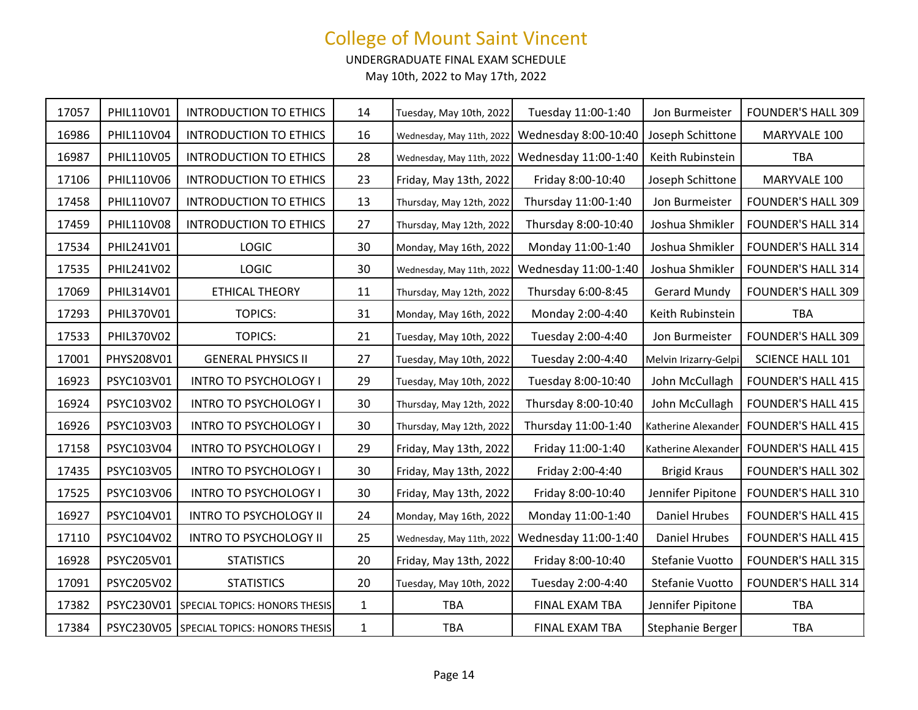UNDERGRADUATE FINAL EXAM SCHEDULE

| 17057 | PHIL110V01 | <b>INTRODUCTION TO ETHICS</b>            | 14           | Tuesday, May 10th, 2022   | Tuesday 11:00-1:40   | Jon Burmeister        | <b>FOUNDER'S HALL 309</b> |
|-------|------------|------------------------------------------|--------------|---------------------------|----------------------|-----------------------|---------------------------|
| 16986 | PHIL110V04 | <b>INTRODUCTION TO ETHICS</b>            | 16           | Wednesday, May 11th, 2022 | Wednesday 8:00-10:40 | Joseph Schittone      | MARYVALE 100              |
| 16987 | PHIL110V05 | <b>INTRODUCTION TO ETHICS</b>            | 28           | Wednesday, May 11th, 2022 | Wednesday 11:00-1:40 | Keith Rubinstein      | <b>TBA</b>                |
| 17106 | PHIL110V06 | <b>INTRODUCTION TO ETHICS</b>            | 23           | Friday, May 13th, 2022    | Friday 8:00-10:40    | Joseph Schittone      | MARYVALE 100              |
| 17458 | PHIL110V07 | <b>INTRODUCTION TO ETHICS</b>            | 13           | Thursday, May 12th, 2022  | Thursday 11:00-1:40  | Jon Burmeister        | <b>FOUNDER'S HALL 309</b> |
| 17459 | PHIL110V08 | <b>INTRODUCTION TO ETHICS</b>            | 27           | Thursday, May 12th, 2022  | Thursday 8:00-10:40  | Joshua Shmikler       | <b>FOUNDER'S HALL 314</b> |
| 17534 | PHIL241V01 | <b>LOGIC</b>                             | 30           | Monday, May 16th, 2022    | Monday 11:00-1:40    | Joshua Shmikler       | <b>FOUNDER'S HALL 314</b> |
| 17535 | PHIL241V02 | <b>LOGIC</b>                             | 30           | Wednesday, May 11th, 2022 | Wednesday 11:00-1:40 | Joshua Shmikler       | <b>FOUNDER'S HALL 314</b> |
| 17069 | PHIL314V01 | ETHICAL THEORY                           | 11           | Thursday, May 12th, 2022  | Thursday 6:00-8:45   | <b>Gerard Mundy</b>   | <b>FOUNDER'S HALL 309</b> |
| 17293 | PHIL370V01 | <b>TOPICS:</b>                           | 31           | Monday, May 16th, 2022    | Monday 2:00-4:40     | Keith Rubinstein      | <b>TBA</b>                |
| 17533 | PHIL370V02 | <b>TOPICS:</b>                           | 21           | Tuesday, May 10th, 2022   | Tuesday 2:00-4:40    | Jon Burmeister        | <b>FOUNDER'S HALL 309</b> |
| 17001 | PHYS208V01 | <b>GENERAL PHYSICS II</b>                | 27           | Tuesday, May 10th, 2022   | Tuesday 2:00-4:40    | Melvin Irizarry-Gelpi | SCIENCE HALL 101          |
| 16923 | PSYC103V01 | <b>INTRO TO PSYCHOLOGY I</b>             | 29           | Tuesday, May 10th, 2022   | Tuesday 8:00-10:40   | John McCullagh        | <b>FOUNDER'S HALL 415</b> |
| 16924 | PSYC103V02 | INTRO TO PSYCHOLOGY I                    | 30           | Thursday, May 12th, 2022  | Thursday 8:00-10:40  | John McCullagh        | <b>FOUNDER'S HALL 415</b> |
| 16926 | PSYC103V03 | <b>INTRO TO PSYCHOLOGY I</b>             | 30           | Thursday, May 12th, 2022  | Thursday 11:00-1:40  | Katherine Alexander   | <b>FOUNDER'S HALL 415</b> |
| 17158 | PSYC103V04 | <b>INTRO TO PSYCHOLOGY I</b>             | 29           | Friday, May 13th, 2022    | Friday 11:00-1:40    | Katherine Alexander   | <b>FOUNDER'S HALL 415</b> |
| 17435 | PSYC103V05 | INTRO TO PSYCHOLOGY I                    | 30           | Friday, May 13th, 2022    | Friday 2:00-4:40     | <b>Brigid Kraus</b>   | <b>FOUNDER'S HALL 302</b> |
| 17525 | PSYC103V06 | <b>INTRO TO PSYCHOLOGY I</b>             | 30           | Friday, May 13th, 2022    | Friday 8:00-10:40    | Jennifer Pipitone     | <b>FOUNDER'S HALL 310</b> |
| 16927 | PSYC104V01 | <b>INTRO TO PSYCHOLOGY II</b>            | 24           | Monday, May 16th, 2022    | Monday 11:00-1:40    | <b>Daniel Hrubes</b>  | <b>FOUNDER'S HALL 415</b> |
| 17110 | PSYC104V02 | <b>INTRO TO PSYCHOLOGY II</b>            | 25           | Wednesday, May 11th, 2022 | Wednesday 11:00-1:40 | <b>Daniel Hrubes</b>  | <b>FOUNDER'S HALL 415</b> |
| 16928 | PSYC205V01 | <b>STATISTICS</b>                        | 20           | Friday, May 13th, 2022    | Friday 8:00-10:40    | Stefanie Vuotto       | <b>FOUNDER'S HALL 315</b> |
| 17091 | PSYC205V02 | <b>STATISTICS</b>                        | 20           | Tuesday, May 10th, 2022   | Tuesday 2:00-4:40    | Stefanie Vuotto       | <b>FOUNDER'S HALL 314</b> |
| 17382 | PSYC230V01 | SPECIAL TOPICS: HONORS THESIS            | $\mathbf{1}$ | <b>TBA</b>                | FINAL EXAM TBA       | Jennifer Pipitone     | <b>TBA</b>                |
| 17384 |            | PSYC230V05 SPECIAL TOPICS: HONORS THESIS | $\mathbf{1}$ | TBA                       | FINAL EXAM TBA       | Stephanie Berger      | <b>TBA</b>                |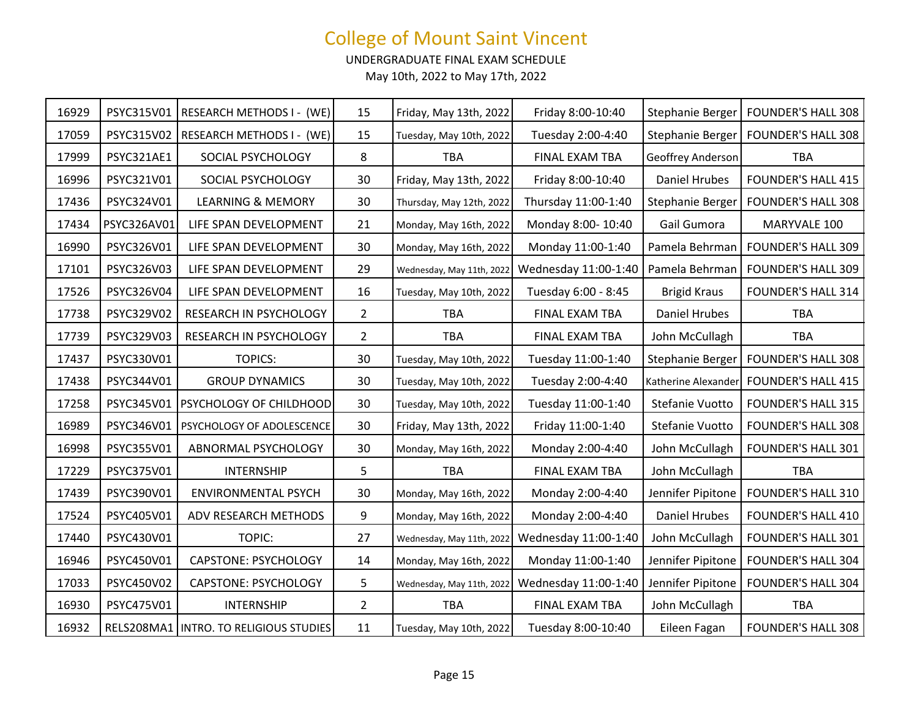UNDERGRADUATE FINAL EXAM SCHEDULE

| 16929 | PSYC315V01  | RESEARCH METHODS I - (WE)                | 15             | Friday, May 13th, 2022    | Friday 8:00-10:40    | Stephanie Berger     | <b>FOUNDER'S HALL 308</b> |
|-------|-------------|------------------------------------------|----------------|---------------------------|----------------------|----------------------|---------------------------|
| 17059 | PSYC315V02  | <b>RESEARCH METHODS I - (WE)</b>         | 15             | Tuesday, May 10th, 2022   | Tuesday 2:00-4:40    | Stephanie Berger     | <b>FOUNDER'S HALL 308</b> |
| 17999 | PSYC321AE1  | SOCIAL PSYCHOLOGY                        | 8              | <b>TBA</b>                | FINAL EXAM TBA       | Geoffrey Anderson    | <b>TBA</b>                |
| 16996 | PSYC321V01  | SOCIAL PSYCHOLOGY                        | 30             | Friday, May 13th, 2022    | Friday 8:00-10:40    | Daniel Hrubes        | <b>FOUNDER'S HALL 415</b> |
| 17436 | PSYC324V01  | <b>LEARNING &amp; MEMORY</b>             | 30             | Thursday, May 12th, 2022  | Thursday 11:00-1:40  | Stephanie Berger     | <b>FOUNDER'S HALL 308</b> |
| 17434 | PSYC326AV01 | LIFE SPAN DEVELOPMENT                    | 21             | Monday, May 16th, 2022    | Monday 8:00-10:40    | Gail Gumora          | MARYVALE 100              |
| 16990 | PSYC326V01  | LIFE SPAN DEVELOPMENT                    | 30             | Monday, May 16th, 2022    | Monday 11:00-1:40    | Pamela Behrman       | <b>FOUNDER'S HALL 309</b> |
| 17101 | PSYC326V03  | LIFE SPAN DEVELOPMENT                    | 29             | Wednesday, May 11th, 2022 | Wednesday 11:00-1:40 | Pamela Behrman       | <b>FOUNDER'S HALL 309</b> |
| 17526 | PSYC326V04  | LIFE SPAN DEVELOPMENT                    | 16             | Tuesday, May 10th, 2022   | Tuesday 6:00 - 8:45  | <b>Brigid Kraus</b>  | <b>FOUNDER'S HALL 314</b> |
| 17738 | PSYC329V02  | RESEARCH IN PSYCHOLOGY                   | $\overline{2}$ | <b>TBA</b>                | FINAL EXAM TBA       | <b>Daniel Hrubes</b> | <b>TBA</b>                |
| 17739 | PSYC329V03  | RESEARCH IN PSYCHOLOGY                   | $\overline{2}$ | <b>TBA</b>                | FINAL EXAM TBA       | John McCullagh       | <b>TBA</b>                |
| 17437 | PSYC330V01  | <b>TOPICS:</b>                           | 30             | Tuesday, May 10th, 2022   | Tuesday 11:00-1:40   | Stephanie Berger     | <b>FOUNDER'S HALL 308</b> |
| 17438 | PSYC344V01  | <b>GROUP DYNAMICS</b>                    | 30             | Tuesday, May 10th, 2022   | Tuesday 2:00-4:40    | Katherine Alexander  | <b>FOUNDER'S HALL 415</b> |
| 17258 | PSYC345V01  | PSYCHOLOGY OF CHILDHOOD                  | 30             | Tuesday, May 10th, 2022   | Tuesday 11:00-1:40   | Stefanie Vuotto      | <b>FOUNDER'S HALL 315</b> |
| 16989 | PSYC346V01  | PSYCHOLOGY OF ADOLESCENCE                | 30             | Friday, May 13th, 2022    | Friday 11:00-1:40    | Stefanie Vuotto      | <b>FOUNDER'S HALL 308</b> |
| 16998 | PSYC355V01  | ABNORMAL PSYCHOLOGY                      | 30             | Monday, May 16th, 2022    | Monday 2:00-4:40     | John McCullagh       | <b>FOUNDER'S HALL 301</b> |
| 17229 | PSYC375V01  | <b>INTERNSHIP</b>                        | 5              | <b>TBA</b>                | FINAL EXAM TBA       | John McCullagh       | <b>TBA</b>                |
| 17439 | PSYC390V01  | <b>ENVIRONMENTAL PSYCH</b>               | 30             | Monday, May 16th, 2022    | Monday 2:00-4:40     | Jennifer Pipitone    | <b>FOUNDER'S HALL 310</b> |
| 17524 | PSYC405V01  | ADV RESEARCH METHODS                     | 9              | Monday, May 16th, 2022    | Monday 2:00-4:40     | <b>Daniel Hrubes</b> | <b>FOUNDER'S HALL 410</b> |
| 17440 | PSYC430V01  | <b>TOPIC:</b>                            | 27             | Wednesday, May 11th, 2022 | Wednesday 11:00-1:40 | John McCullagh       | <b>FOUNDER'S HALL 301</b> |
| 16946 | PSYC450V01  | <b>CAPSTONE: PSYCHOLOGY</b>              | 14             | Monday, May 16th, 2022    | Monday 11:00-1:40    | Jennifer Pipitone    | <b>FOUNDER'S HALL 304</b> |
| 17033 | PSYC450V02  | <b>CAPSTONE: PSYCHOLOGY</b>              | 5              | Wednesday, May 11th, 2022 | Wednesday 11:00-1:40 | Jennifer Pipitone    | <b>FOUNDER'S HALL 304</b> |
| 16930 | PSYC475V01  | <b>INTERNSHIP</b>                        | $\overline{2}$ | <b>TBA</b>                | FINAL EXAM TBA       | John McCullagh       | <b>TBA</b>                |
| 16932 |             | RELS208MA1   INTRO. TO RELIGIOUS STUDIES | 11             | Tuesday, May 10th, 2022   | Tuesday 8:00-10:40   | Eileen Fagan         | <b>FOUNDER'S HALL 308</b> |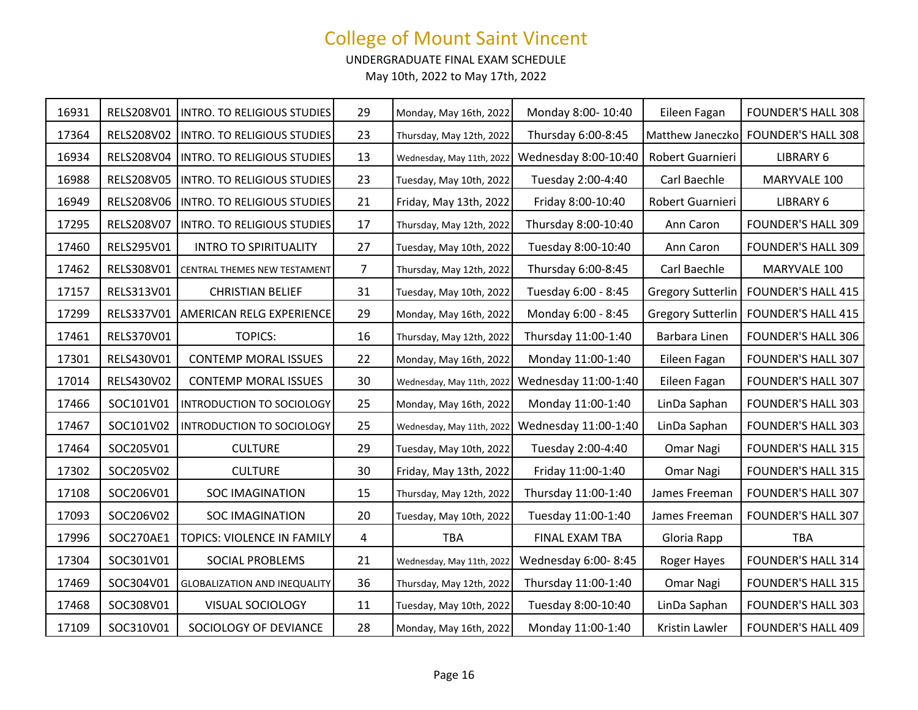UNDERGRADUATE FINAL EXAM SCHEDULE

| 16931 | RELS208V01 | INTRO. TO RELIGIOUS STUDIES         | 29             | Monday, May 16th, 2022    | Monday 8:00-10:40    | Eileen Fagan             | <b>FOUNDER'S HALL 308</b> |
|-------|------------|-------------------------------------|----------------|---------------------------|----------------------|--------------------------|---------------------------|
| 17364 | RELS208V02 | INTRO. TO RELIGIOUS STUDIES         | 23             | Thursday, May 12th, 2022  | Thursday 6:00-8:45   | Matthew Janeczko         | <b>FOUNDER'S HALL 308</b> |
| 16934 | RELS208V04 | <b>INTRO. TO RELIGIOUS STUDIES</b>  | 13             | Wednesday, May 11th, 2022 | Wednesday 8:00-10:40 | Robert Guarnieri         | LIBRARY 6                 |
| 16988 | RELS208V05 | INTRO. TO RELIGIOUS STUDIES         | 23             | Tuesday, May 10th, 2022   | Tuesday 2:00-4:40    | Carl Baechle             | MARYVALE 100              |
| 16949 | RELS208V06 | INTRO. TO RELIGIOUS STUDIES         | 21             | Friday, May 13th, 2022    | Friday 8:00-10:40    | Robert Guarnieri         | LIBRARY 6                 |
| 17295 | RELS208V07 | INTRO. TO RELIGIOUS STUDIES         | 17             | Thursday, May 12th, 2022  | Thursday 8:00-10:40  | Ann Caron                | <b>FOUNDER'S HALL 309</b> |
| 17460 | RELS295V01 | <b>INTRO TO SPIRITUALITY</b>        | 27             | Tuesday, May 10th, 2022   | Tuesday 8:00-10:40   | Ann Caron                | <b>FOUNDER'S HALL 309</b> |
| 17462 | RELS308V01 | CENTRAL THEMES NEW TESTAMENT        | $\overline{7}$ | Thursday, May 12th, 2022  | Thursday 6:00-8:45   | Carl Baechle             | MARYVALE 100              |
| 17157 | RELS313V01 | <b>CHRISTIAN BELIEF</b>             | 31             | Tuesday, May 10th, 2022   | Tuesday 6:00 - 8:45  | <b>Gregory Sutterlin</b> | <b>FOUNDER'S HALL 415</b> |
| 17299 | RELS337V01 | AMERICAN RELG EXPERIENCE            | 29             | Monday, May 16th, 2022    | Monday 6:00 - 8:45   | <b>Gregory Sutterlin</b> | <b>FOUNDER'S HALL 415</b> |
| 17461 | RELS370V01 | <b>TOPICS:</b>                      | 16             | Thursday, May 12th, 2022  | Thursday 11:00-1:40  | Barbara Linen            | <b>FOUNDER'S HALL 306</b> |
| 17301 | RELS430V01 | <b>CONTEMP MORAL ISSUES</b>         | 22             | Monday, May 16th, 2022    | Monday 11:00-1:40    | Eileen Fagan             | <b>FOUNDER'S HALL 307</b> |
| 17014 | RELS430V02 | <b>CONTEMP MORAL ISSUES</b>         | 30             | Wednesday, May 11th, 2022 | Wednesday 11:00-1:40 | Eileen Fagan             | <b>FOUNDER'S HALL 307</b> |
| 17466 | SOC101V01  | INTRODUCTION TO SOCIOLOGY           | 25             | Monday, May 16th, 2022    | Monday 11:00-1:40    | LinDa Saphan             | <b>FOUNDER'S HALL 303</b> |
| 17467 | SOC101V02  | INTRODUCTION TO SOCIOLOGY           | 25             | Wednesday, May 11th, 2022 | Wednesday 11:00-1:40 | LinDa Saphan             | <b>FOUNDER'S HALL 303</b> |
| 17464 | SOC205V01  | <b>CULTURE</b>                      | 29             | Tuesday, May 10th, 2022   | Tuesday 2:00-4:40    | Omar Nagi                | <b>FOUNDER'S HALL 315</b> |
| 17302 | SOC205V02  | <b>CULTURE</b>                      | 30             | Friday, May 13th, 2022    | Friday 11:00-1:40    | Omar Nagi                | <b>FOUNDER'S HALL 315</b> |
| 17108 | SOC206V01  | SOC IMAGINATION                     | 15             | Thursday, May 12th, 2022  | Thursday 11:00-1:40  | James Freeman            | <b>FOUNDER'S HALL 307</b> |
| 17093 | SOC206V02  | <b>SOC IMAGINATION</b>              | 20             | Tuesday, May 10th, 2022   | Tuesday 11:00-1:40   | James Freeman            | <b>FOUNDER'S HALL 307</b> |
| 17996 | SOC270AE1  | TOPICS: VIOLENCE IN FAMILY          | 4              | <b>TBA</b>                | FINAL EXAM TBA       | Gloria Rapp              | TBA                       |
| 17304 | SOC301V01  | SOCIAL PROBLEMS                     | 21             | Wednesday, May 11th, 2022 | Wednesday 6:00-8:45  | Roger Hayes              | <b>FOUNDER'S HALL 314</b> |
| 17469 | SOC304V01  | <b>GLOBALIZATION AND INEQUALITY</b> | 36             | Thursday, May 12th, 2022  | Thursday 11:00-1:40  | Omar Nagi                | <b>FOUNDER'S HALL 315</b> |
| 17468 | SOC308V01  | VISUAL SOCIOLOGY                    | 11             | Tuesday, May 10th, 2022   | Tuesday 8:00-10:40   | LinDa Saphan             | <b>FOUNDER'S HALL 303</b> |
| 17109 | SOC310V01  | SOCIOLOGY OF DEVIANCE               | 28             | Monday, May 16th, 2022    | Monday 11:00-1:40    | Kristin Lawler           | <b>FOUNDER'S HALL 409</b> |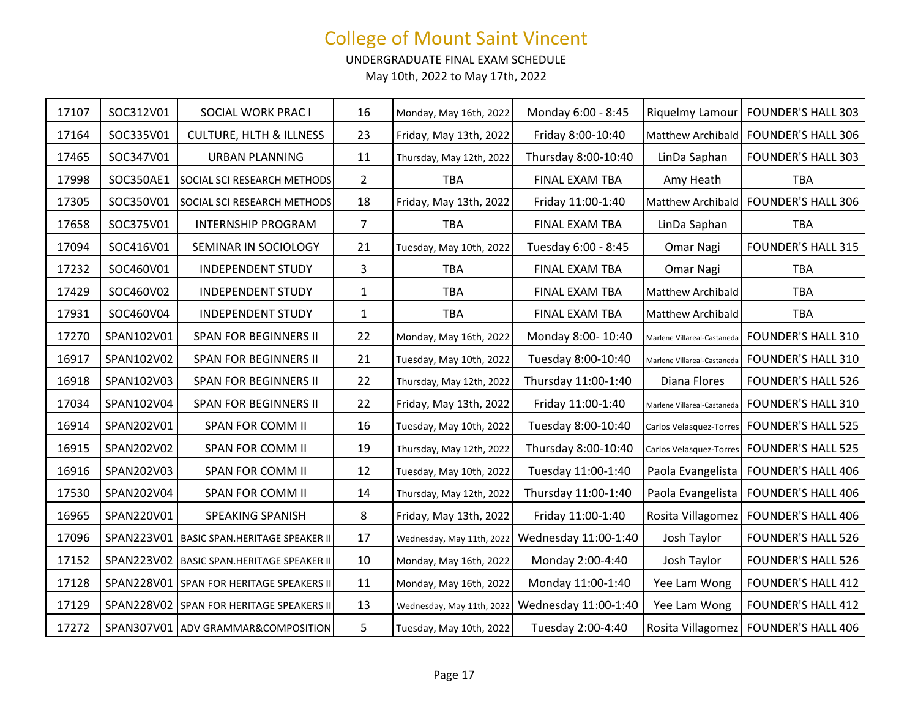UNDERGRADUATE FINAL EXAM SCHEDULE

| 17107 | SOC312V01  | SOCIAL WORK PRAC I                          | 16             | Monday, May 16th, 2022    | Monday 6:00 - 8:45   | Riquelmy Lamour             | <b>FOUNDER'S HALL 303</b> |
|-------|------------|---------------------------------------------|----------------|---------------------------|----------------------|-----------------------------|---------------------------|
| 17164 | SOC335V01  | <b>CULTURE, HLTH &amp; ILLNESS</b>          | 23             | Friday, May 13th, 2022    | Friday 8:00-10:40    | Matthew Archibald           | <b>FOUNDER'S HALL 306</b> |
| 17465 | SOC347V01  | <b>URBAN PLANNING</b>                       | 11             | Thursday, May 12th, 2022  | Thursday 8:00-10:40  | LinDa Saphan                | <b>FOUNDER'S HALL 303</b> |
| 17998 | SOC350AE1  | SOCIAL SCI RESEARCH METHODS                 | $\overline{2}$ | <b>TBA</b>                | FINAL EXAM TBA       | Amy Heath                   | <b>TBA</b>                |
| 17305 | SOC350V01  | SOCIAL SCI RESEARCH METHODS                 | 18             | Friday, May 13th, 2022    | Friday 11:00-1:40    | <b>Matthew Archibald</b>    | <b>FOUNDER'S HALL 306</b> |
| 17658 | SOC375V01  | <b>INTERNSHIP PROGRAM</b>                   | $\overline{7}$ | <b>TBA</b>                | FINAL EXAM TBA       | LinDa Saphan                | <b>TBA</b>                |
| 17094 | SOC416V01  | SEMINAR IN SOCIOLOGY                        | 21             | Tuesday, May 10th, 2022   | Tuesday 6:00 - 8:45  | Omar Nagi                   | <b>FOUNDER'S HALL 315</b> |
| 17232 | SOC460V01  | <b>INDEPENDENT STUDY</b>                    | 3              | <b>TBA</b>                | FINAL EXAM TBA       | Omar Nagi                   | <b>TBA</b>                |
| 17429 | SOC460V02  | <b>INDEPENDENT STUDY</b>                    | $\mathbf{1}$   | <b>TBA</b>                | FINAL EXAM TBA       | Matthew Archibald           | TBA                       |
| 17931 | SOC460V04  | <b>INDEPENDENT STUDY</b>                    | $\mathbf{1}$   | <b>TBA</b>                | FINAL EXAM TBA       | Matthew Archibald           | <b>TBA</b>                |
| 17270 | SPAN102V01 | SPAN FOR BEGINNERS II                       | 22             | Monday, May 16th, 2022    | Monday 8:00-10:40    | Marlene Villareal-Castaneda | <b>FOUNDER'S HALL 310</b> |
| 16917 | SPAN102V02 | <b>SPAN FOR BEGINNERS II</b>                | 21             | Tuesday, May 10th, 2022   | Tuesday 8:00-10:40   | Marlene Villareal-Castaneda | <b>FOUNDER'S HALL 310</b> |
| 16918 | SPAN102V03 | <b>SPAN FOR BEGINNERS II</b>                | 22             | Thursday, May 12th, 2022  | Thursday 11:00-1:40  | Diana Flores                | <b>FOUNDER'S HALL 526</b> |
| 17034 | SPAN102V04 | <b>SPAN FOR BEGINNERS II</b>                | 22             | Friday, May 13th, 2022    | Friday 11:00-1:40    | Marlene Villareal-Castaneda | <b>FOUNDER'S HALL 310</b> |
| 16914 | SPAN202V01 | SPAN FOR COMM II                            | 16             | Tuesday, May 10th, 2022   | Tuesday 8:00-10:40   | Carlos Velasquez-Torres     | <b>FOUNDER'S HALL 525</b> |
| 16915 | SPAN202V02 | SPAN FOR COMM II                            | 19             | Thursday, May 12th, 2022  | Thursday 8:00-10:40  | Carlos Velasquez-Torres     | <b>FOUNDER'S HALL 525</b> |
| 16916 | SPAN202V03 | SPAN FOR COMM II                            | 12             | Tuesday, May 10th, 2022   | Tuesday 11:00-1:40   | Paola Evangelista           | <b>FOUNDER'S HALL 406</b> |
| 17530 | SPAN202V04 | SPAN FOR COMM II                            | 14             | Thursday, May 12th, 2022  | Thursday 11:00-1:40  | Paola Evangelista           | <b>FOUNDER'S HALL 406</b> |
| 16965 | SPAN220V01 | SPEAKING SPANISH                            | 8              | Friday, May 13th, 2022    | Friday 11:00-1:40    | Rosita Villagomez           | <b>FOUNDER'S HALL 406</b> |
| 17096 |            | SPAN223V01   BASIC SPAN.HERITAGE SPEAKER II | 17             | Wednesday, May 11th, 2022 | Wednesday 11:00-1:40 | Josh Taylor                 | <b>FOUNDER'S HALL 526</b> |
| 17152 |            | SPAN223V02   BASIC SPAN.HERITAGE SPEAKER II | 10             | Monday, May 16th, 2022    | Monday 2:00-4:40     | Josh Taylor                 | <b>FOUNDER'S HALL 526</b> |
| 17128 |            | SPAN228V01 SPAN FOR HERITAGE SPEAKERS II    | 11             | Monday, May 16th, 2022    | Monday 11:00-1:40    | Yee Lam Wong                | <b>FOUNDER'S HALL 412</b> |
| 17129 |            | SPAN228V02 SPAN FOR HERITAGE SPEAKERS II    | 13             | Wednesday, May 11th, 2022 | Wednesday 11:00-1:40 | Yee Lam Wong                | <b>FOUNDER'S HALL 412</b> |
| 17272 |            | SPAN307V01   ADV GRAMMAR&COMPOSITION        | 5              | Tuesday, May 10th, 2022   | Tuesday 2:00-4:40    | Rosita Villagomez           | <b>FOUNDER'S HALL 406</b> |